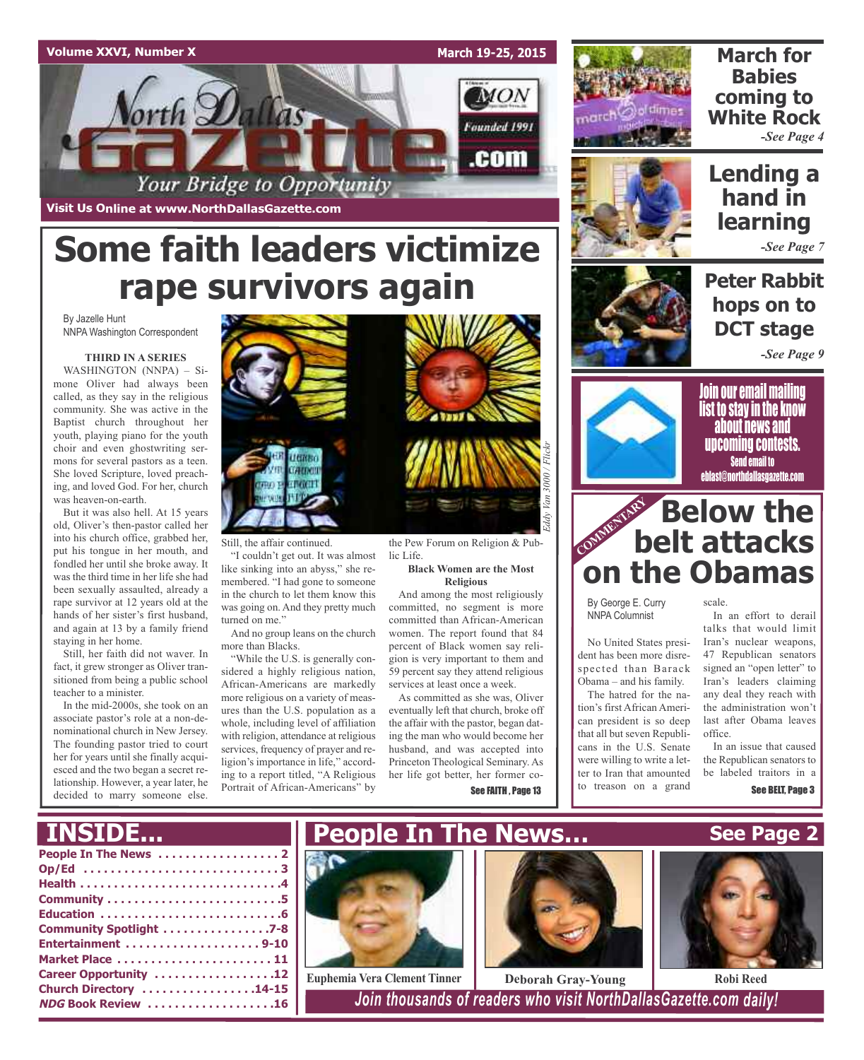## **Volume XXVI, Number X**

**March 19-25, 2015**

**MON** 

Founded 1991

.com



**March for Babies coming to White Rock** *-See Page 4*



## **Lending a hand in learning**

*-See Page 7*

**Peter Rabbit hops on to DCT stage**

*-See Page 9*



Join our email mailing list to stay in the know about news and upcoming contests. Send email to eblast@northdallasgazette.com

## **community Below the**<br> **belt attacks belt attacks on the Obamas**

scale.

By George E. Curry NNPA Columnist

No United States president has been more disrespected than Barack

The hatred for the nation's first African American president is so deep that all but seven Republicans in the U.S. Senate were willing to write a letter to Iran that amounted to treason on a grand

In an effort to derail talks that would limit

Iran's nuclear weapons, 47 Republican senators signed an "open letter" to

Iran's leaders claiming any deal they reach with the administration won't last after Obama leaves office. In an issue that caused

the Republican senators to be labeled traitors in a

# **Some faith leaders victimize rape survivors again**

Your Bridge to Opportunity

By Jazelle Hunt NNPA Washington Correspondent

### **THIRD IN A SERIES**

**Visit Us Online at www.NorthDallasGazette.com**

orth **Dal** 

WASHINGTON (NNPA) – Simone Oliver had always been called, as they say in the religious community. She was active in the Baptist church throughout her youth, playing piano for the youth choir and even ghostwriting sermons for several pastors as a teen. She loved Scripture, loved preaching, and loved God. For her, church was heaven-on-earth.

But it was also hell. At 15 years old, Oliver's then-pastor called her into his church office, grabbed her, put his tongue in her mouth, and fondled her until she broke away. It was the third time in her life she had been sexually assaulted, already a rape survivor at 12 years old at the hands of her sister's first husband, and again at 13 by a family friend staying in her home.

Still, her faith did not waver. In fact, it grew stronger as Oliver transitioned from being a public school teacher to a minister.

In the mid-2000s, she took on an associate pastor's role at a non-denominational church in New Jersey. The founding pastor tried to court her for years until she finally acquiesced and the two began a secret relationship. However, a year later, he decided to marry someone else.



Still, the affair continued.

"I couldn't get out. It was almost like sinking into an abyss," she remembered. "I had gone to someone in the church to let them know this was going on. And they pretty much turned on me."

And no group leans on the church more than Blacks.

"While the U.S. is generally considered a highly religious nation, African-Americans are markedly more religious on a variety of measures than the U.S. population as a whole, including level of affiliation with religion, attendance at religious services, frequency of prayer and religion's importance in life," according to a report titled, "A Religious Portrait of African-Americans" by



the Pew Forum on Religion & Public Life.

> **Black Women are the Most Religious**

And among the most religiously committed, no segment is more committed than African-American women. The report found that 84 percent of Black women say religion is very important to them and 59 percent say they attend religious services at least once a week.

As committed as she was, Oliver eventually left that church, broke off the affair with the pastor, began dating the man who would become her husband, and was accepted into Princeton Theological Seminary. As her life got better, her former co-See FAITH , Page 13

Obama – and his family.

**See Page 2** See BELT, Page 3

| <b>INSIDE</b>             |  |
|---------------------------|--|
|                           |  |
|                           |  |
|                           |  |
|                           |  |
|                           |  |
| Community Spotlight 7-8   |  |
| Entertainment 9-10        |  |
| Market Place  11          |  |
| Career Opportunity 12     |  |
| Church Directory 14-15    |  |
| <b>NDG Book Review 16</b> |  |
|                           |  |



**Euphemia Vera Clement Tinner Deborah Gray-Young Robi Reed**

**NDG Book Review . . . . . . . . . . . . . . . . . . .16** *Join thousands of readers who visit NorthDallasGazette.com daily!*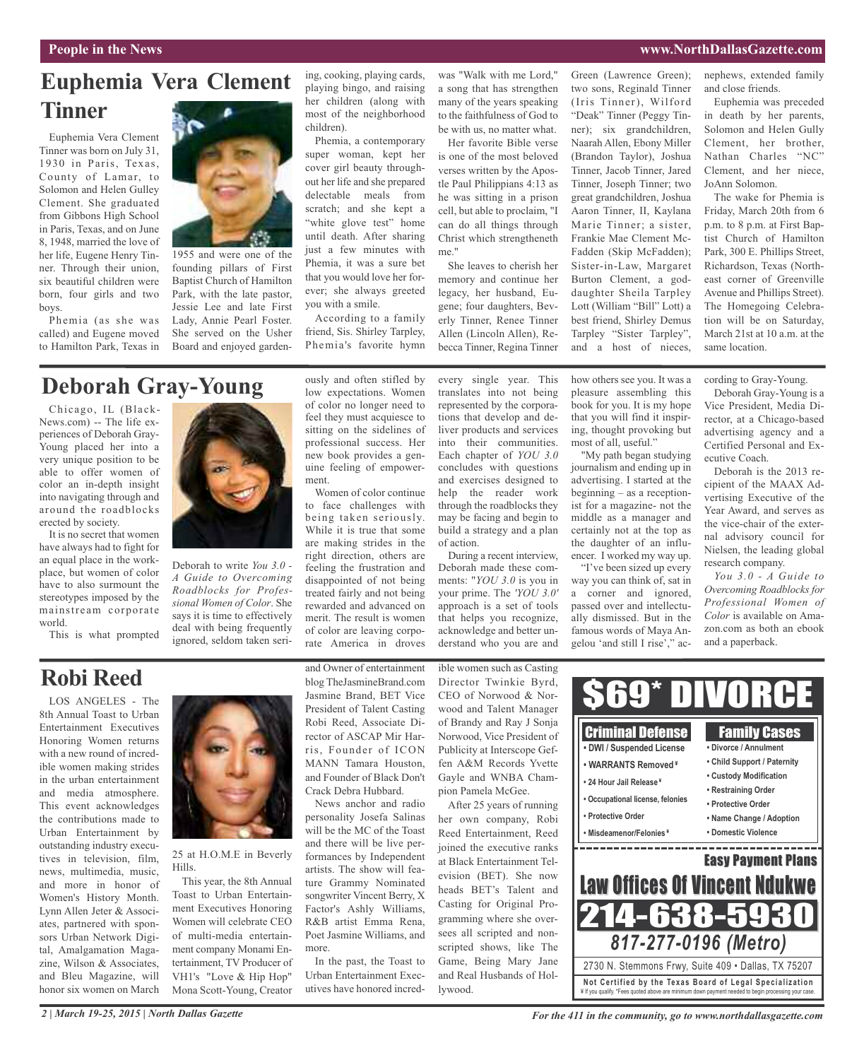## **People in the News www.NorthDallasGazette.com**

## **Euphemia Vera Clement Tinner**

Euphemia Vera Clement Tinner was born on July 31, 1930 in Paris, Texas, County of Lamar, to Solomon and Helen Gulley Clement. She graduated from Gibbons High School in Paris, Texas, and on June 8, 1948, married the love of her life, Eugene Henry Tinner. Through their union, six beautiful children were born, four girls and two boys.

Phemia (as she was called) and Eugene moved to Hamilton Park, Texas in



1955 and were one of the founding pillars of First Baptist Church of Hamilton Park, with the late pastor, Jessie Lee and late First Lady, Annie Pearl Foster. She served on the Usher Board and enjoyed garden-

ing, cooking, playing cards, playing bingo, and raising her children (along with most of the neighborhood children).

Phemia, a contemporary super woman, kept her cover girl beauty throughout her life and she prepared delectable meals from scratch; and she kept a "white glove test" home until death. After sharing just a few minutes with Phemia, it was a sure bet that you would love her forever; she always greeted you with a smile.

According to a family friend, Sis. Shirley Tarpley, Phemia's favorite hymn

was "Walk with me Lord," a song that has strengthen many of the years speaking to the faithfulness of God to be with us, no matter what.

Her favorite Bible verse is one of the most beloved verses written by the Apostle Paul Philippians 4:13 as he was sitting in a prison cell, but able to proclaim, "I can do all things through Christ which strengtheneth me."

She leaves to cherish her memory and continue her legacy, her husband, Eugene; four daughters, Beverly Tinner, Renee Tinner Allen (Lincoln Allen), Rebecca Tinner, Regina Tinner Green (Lawrence Green); two sons, Reginald Tinner (Iris Tinner), Wilford "Deak" Tinner (Peggy Tinner); six grandchildren, Naarah Allen, Ebony Miller (Brandon Taylor), Joshua Tinner, Jacob Tinner, Jared Tinner, Joseph Tinner; two great grandchildren, Joshua Aaron Tinner, II, Kaylana Marie Tinner; a sister, Frankie Mae Clement Mc-Fadden (Skip McFadden); Sister-in-Law, Margaret Burton Clement, a goddaughter Sheila Tarpley Lott (William "Bill" Lott) a best friend, Shirley Demus Tarpley "Sister Tarpley", and a host of nieces,

nephews, extended family and close friends.

Euphemia was preceded in death by her parents, Solomon and Helen Gully Clement, her brother, Nathan Charles "NC" Clement, and her niece, JoAnn Solomon.

The wake for Phemia is Friday, March 20th from 6 p.m. to 8 p.m. at First Baptist Church of Hamilton Park, 300 E. Phillips Street, Richardson, Texas (Northeast corner of Greenville Avenue and Phillips Street). The Homegoing Celebration will be on Saturday, March 21st at 10 a.m. at the same location.

## **Deborah Gray-Young**

Chicago, IL (Black-News.com) -- The life experiences of Deborah Gray-Young placed her into a very unique position to be able to offer women of color an in-depth insight into navigating through and around the roadblocks erected by society.

It is no secret that women have always had to fight for an equal place in the workplace, but women of color have to also surmount the stereotypes imposed by the mainstream corporate world.

This is what prompted



Deborah to write *You 3.0 - A Guide to Overcoming Roadblocks for Professional Women of Color*. She says it is time to effectively deal with being frequently ignored, seldom taken seriously and often stifled by low expectations. Women of color no longer need to feel they must acquiesce to sitting on the sidelines of professional success. Her new book provides a genuine feeling of empowerment.

Women of color continue to face challenges with being taken seriously. While it is true that some are making strides in the right direction, others are feeling the frustration and disappointed of not being treated fairly and not being rewarded and advanced on merit. The result is women of color are leaving corporate America in droves

every single year. This translates into not being represented by the corporations that develop and deliver products and services into their communities. Each chapter of *YOU 3.0* concludes with questions and exercises designed to help the reader work through the roadblocks they may be facing and begin to build a strategy and a plan of action.

During a recent interview, Deborah made these comments: "*YOU 3.0* is you in your prime. The *'YOU 3.0'* approach is a set of tools that helps you recognize, acknowledge and better understand who you are and

how others see you. It was a pleasure assembling this book for you. It is my hope that you will find it inspiring, thought provoking but most of all, useful."

"My path began studying journalism and ending up in advertising. I started at the beginning – as a receptionist for a magazine- not the middle as a manager and certainly not at the top as the daughter of an influencer. I worked my way up.

"I've been sized up every way you can think of, sat in a corner and ignored, passed over and intellectually dismissed. But in the famous words of Maya Angelou 'and still I rise'," according to Gray-Young.

Deborah Gray-Young is a Vice President, Media Director, at a Chicago-based advertising agency and a Certified Personal and Executive Coach.

Deborah is the 2013 recipient of the MAAX Advertising Executive of the Year Award, and serves as the vice-chair of the external advisory council for Nielsen, the leading global research company.

*You 3.0 - A Guide to Overcoming Roadblocks for Professional Women of Color* is available on Amazon.com as both an ebook and a paperback.

## **Robi Reed**

LOS ANGELES - The 8th Annual Toast to Urban Entertainment Executives Honoring Women returns with a new round of incredible women making strides in the urban entertainment and media atmosphere. This event acknowledges the contributions made to Urban Entertainment by outstanding industry executives in television, film, news, multimedia, music, and more in honor of Women's History Month. Lynn Allen Jeter & Associates, partnered with sponsors Urban Network Digital, Amalgamation Magazine, Wilson & Associates, and Bleu Magazine, will honor six women on March



#### 25 at H.O.M.E in Beverly Hills.

This year, the 8th Annual Toast to Urban Entertainment Executives Honoring Women will celebrate CEO of multi-media entertainment company Monami Entertainment, TV Producer of VH1's "Love & Hip Hop" Mona Scott-Young, Creator

and Owner of entertainment blog TheJasmineBrand.com Jasmine Brand, BET Vice President of Talent Casting Robi Reed, Associate Director of ASCAP Mir Harris, Founder of ICON MANN Tamara Houston, and Founder of Black Don't Crack Debra Hubbard.

News anchor and radio personality Josefa Salinas will be the MC of the Toast and there will be live performances by Independent artists. The show will feature Grammy Nominated songwriter Vincent Berry, X Factor's Ashly Williams, R&B artist Emma Rena, Poet Jasmine Williams, and more.

In the past, the Toast to Urban Entertainment Executives have honored incredible women such as Casting Director Twinkie Byrd, CEO of Norwood & Norwood and Talent Manager of Brandy and Ray J Sonja Norwood, Vice President of Publicity at Interscope Geffen A&M Records Yvette Gayle and WNBA Champion Pamela McGee.

After 25 years of running her own company, Robi Reed Entertainment, Reed joined the executive ranks at Black Entertainment Television (BET). She now heads BET's Talent and Casting for Original Programming where she oversees all scripted and nonscripted shows, like The Game, Being Mary Jane and Real Husbands of Hollywood.

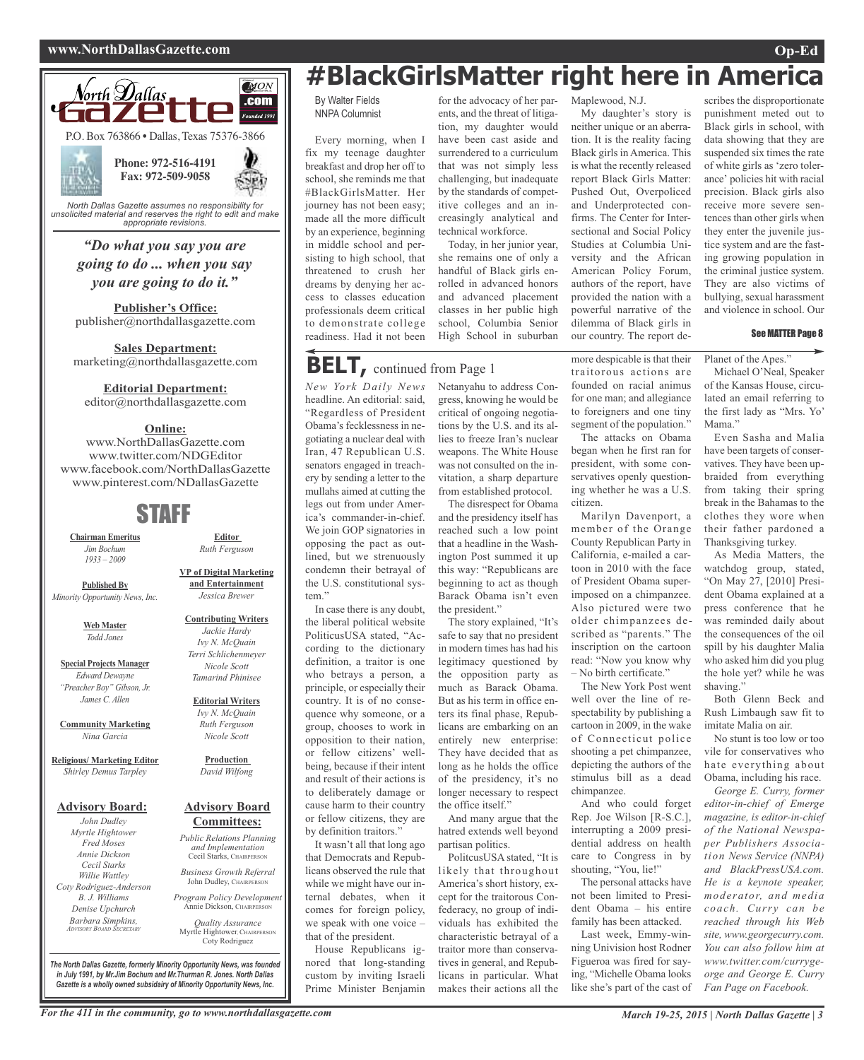### **www.NorthDallasGazette.com Op-Ed**



*unsolicited material and reserves the right to edit and make appropriate revisions.*

*"Do what you say you are going to do ... when you say you are going to do it."*

**Publisher's Office:** publisher@northdallasgazette.com

**Sales Department:** marketing@northdallasgazette.com

**Editorial Department:**

editor@northdallasgazette.com

## **Online:**

www.NorthDallasGazette.com www.twitter.com/NDGEditor www.facebook.com/NorthDallasGazette www.pinterest.com/NDallasGazette

## STAFF

**Chairman Emeritus** *Jim Bochum 1933 – 2009*

**Published By** *Minority Opportunity News, Inc.*

> **Web Master** *Todd Jones*

**Special Projects Manager** *Edward Dewayne "Preacher Boy" Gibson, Jr. James C. Allen*

**Community Marketing** *Nina Garcia*

**Religious/ Marketing Editor** *Shirley Demus Tarpley*

### **Advisory Board:**

*John Dudley Myrtle Hightower Fred Moses Annie Dickson Cecil Starks Willie Wattley Coty Rodriguez-Anderson B. J. Williams Denise Upchurch Barbara Simpkins, ADVISORY BOARD SECRETARY*

**VP of Digital Marketing and Entertainment** *Jessica Brewer*

**Editor** *Ruth Ferguson*

**Contributing Writers** *Jackie Hardy Ivy N. McQuain Terri Schlichenmeyer Nicole Scott Tamarind Phinisee*

**Editorial Writers** *Ivy N. McQuain Ruth Ferguson*

*Nicole Scott*

**Production** *David Wilfong*

### **Advisory Board Committees:**

*Public Relations Planning and Implementation* Cecil Starks, CHAIRPERSON

*Business Growth Referral* John Dudley, CHAIRPERSO

*Program Policy Development* Annie Dickson, CHAIRPER

*Quality Assurance* Myrtle Hightower, CHAIRPERSON Coty Rodriguez

**#BlackGirlsMatter right here in America**

Maplewood, N.J.

My daughter's story is neither unique or an aberration. It is the reality facing Black girls in America. This is what the recently released report Black Girls Matter: Pushed Out, Overpoliced and Underprotected confirms. The Center for Intersectional and Social Policy Studies at Columbia University and the African American Policy Forum, authors of the report, have provided the nation with a powerful narrative of the dilemma of Black girls in our country. The report de-

By Walter Fields NNPA Columnist

Every morning, when I fix my teenage daughter breakfast and drop her off to school, she reminds me that #BlackGirlsMatter. Her journey has not been easy; made all the more difficult by an experience, beginning in middle school and persisting to high school, that threatened to crush her dreams by denying her access to classes education professionals deem critical to demonstrate college readiness. Had it not been

## **BELT,** continued from Page <sup>1</sup>

*New York Daily News* Netanyahu to address Conheadline. An editorial: said, "Regardless of President Obama's fecklessness in negotiating a nuclear deal with Iran, 47 Republican U.S. senators engaged in treachery by sending a letter to the mullahs aimed at cutting the legs out from under America's commander-in-chief. We join GOP signatories in opposing the pact as outlined, but we strenuously condemn their betrayal of the U.S. constitutional system." In case there is any doubt,

the liberal political website PoliticusUSA stated, "According to the dictionary definition, a traitor is one who betrays a person, a principle, or especially their country. It is of no consequence why someone, or a group, chooses to work in opposition to their nation, or fellow citizens' wellbeing, because if their intent and result of their actions is to deliberately damage or cause harm to their country or fellow citizens, they are by definition traitors."

It wasn't all that long ago that Democrats and Republicans observed the rule that while we might have our internal debates, when it comes for foreign policy, we speak with one voice – that of the president.

House Republicans ignored that long-standing custom by inviting Israeli Prime Minister Benjamin

for the advocacy of her parents, and the threat of litigation, my daughter would have been cast aside and surrendered to a curriculum that was not simply less challenging, but inadequate by the standards of competitive colleges and an increasingly analytical and technical workforce.

Today, in her junior year, she remains one of only a handful of Black girls enrolled in advanced honors and advanced placement classes in her public high school, Columbia Senior High School in suburban

lies to freeze Iran's nuclear weapons. The White House was not consulted on the invitation, a sharp departure from established protocol. The disrespect for Obama and the presidency itself has reached such a low point that a headline in the Washington Post summed it up this way: "Republicans are beginning to act as though Barack Obama isn't even

the president."

the office itself."

partisan politics.

And many argue that the hatred extends well beyond

PolitcusUSA stated, "It is likely that throughout America's short history, except for the traitorous Confederacy, no group of individuals has exhibited the characteristic betrayal of a traitor more than conservatives in general, and Republicans in particular. What makes their actions all the

The story explained, "It's safe to say that no president in modern times has had his legitimacy questioned by the opposition party as much as Barack Obama. But as his term in office enters its final phase, Republicans are embarking on an entirely new enterprise: They have decided that as long as he holds the office of the presidency, it's no longer necessary to respect

gress, knowing he would be critical of ongoing negotiations by the U.S. and its altraitorous actions are founded on racial animus for one man; and allegiance to foreigners and one tiny segment of the population."

> The attacks on Obama began when he first ran for president, with some conservatives openly questioning whether he was a U.S. citizen.

more despicable is that their

Marilyn Davenport, a member of the Orange County Republican Party in California, e-mailed a cartoon in 2010 with the face of President Obama superimposed on a chimpanzee. Also pictured were two older chimpanzees described as "parents." The inscription on the cartoon read: "Now you know why  $-$  No birth certificate."

The New York Post went well over the line of respectability by publishing a cartoon in 2009, in the wake of Connecticut police shooting a pet chimpanzee, depicting the authors of the stimulus bill as a dead chimpanzee.

And who could forget Rep. Joe Wilson [R-S.C.], interrupting a 2009 presidential address on health care to Congress in by shouting, "You, lie!"

The personal attacks have not been limited to President Obama – his entire family has been attacked.

Last week, Emmy-winning Univision host Rodner Figueroa was fired for saying, "Michelle Obama looks like she's part of the cast of

scribes the disproportionate punishment meted out to Black girls in school, with data showing that they are suspended six times the rate of white girls as 'zero tolerance' policies hit with racial precision. Black girls also receive more severe sentences than other girls when they enter the juvenile justice system and are the fasting growing population in the criminal justice system. They are also victims of bullying, sexual harassment and violence in school. Our

#### See MATTER Page 8

Planet of the Apes."

Michael O'Neal, Speaker of the Kansas House, circulated an email referring to the first lady as "Mrs. Yo' Mama<sup>'</sup>

Even Sasha and Malia have been targets of conservatives. They have been upbraided from everything from taking their spring break in the Bahamas to the clothes they wore when their father pardoned a Thanksgiving turkey.

As Media Matters, the watchdog group, stated, "On May 27, [2010] President Obama explained at a press conference that he was reminded daily about the consequences of the oil spill by his daughter Malia who asked him did you plug the hole yet? while he was shaving.

Both Glenn Beck and Rush Limbaugh saw fit to imitate Malia on air.

No stunt is too low or too vile for conservatives who hate everything about Obama, including his race.

*George E. Curry, former editor-in-chief of Emerge magazine, is editor-in-chief of the National Newspaper Publishers Association News Service (NNPA) and BlackPressUSA.com. He is a keynote speaker, moderator, and media coach. Curry can be reached through his Web site, www.georgecurry.com. You can also follow him at www.twitter.com/currygeorge and George E. Curry Fan Page on Facebook.*

*The North Dallas Gazette, formerly Minority Opportunity News, was founded in July 1991, by Mr.Jim Bochum and Mr.Thurman R. Jones. North Dallas Gazette is a wholly owned subsidairy of Minority Opportunity News, Inc.*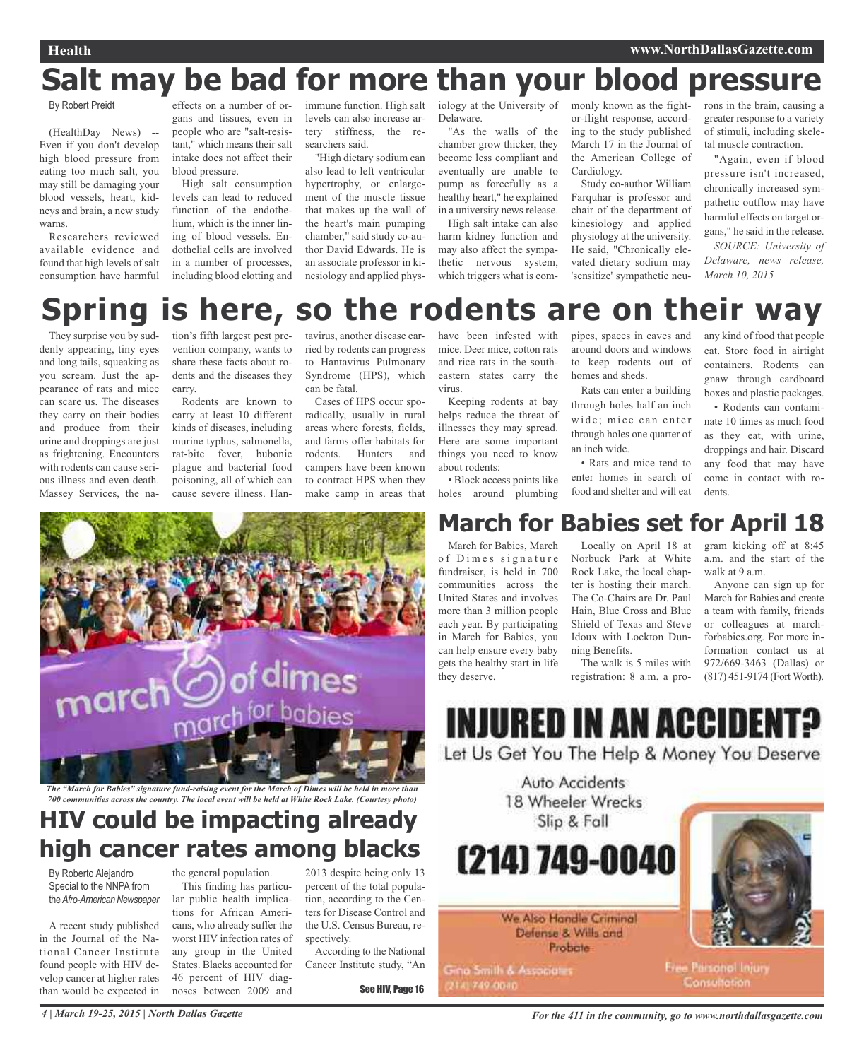## **Salt may be bad for more than your blood pressure**

### By Robert Preidt

(HealthDay News) -- Even if you don't develop high blood pressure from eating too much salt, you may still be damaging your blood vessels, heart, kidneys and brain, a new study warns.

Researchers reviewed available evidence and found that high levels of salt consumption have harmful

effects on a number of organs and tissues, even in people who are "salt-resistant," which means their salt intake does not affect their blood pressure.

High salt consumption levels can lead to reduced function of the endothelium, which is the inner lining of blood vessels. Endothelial cells are involved in a number of processes, including blood clotting and

immune function. High salt levels can also increase artery stiffness, the researchers said.

"High dietary sodium can also lead to left ventricular hypertrophy, or enlargement of the muscle tissue that makes up the wall of the heart's main pumping chamber," said study co-author David Edwards. He is an associate professor in kinesiology and applied physDelaware.

"As the walls of the chamber grow thicker, they become less compliant and eventually are unable to pump as forcefully as a healthy heart," he explained in a university news release. High salt intake can also

harm kidney function and may also affect the sympathetic nervous system, which triggers what is com-

iology at the University of monly known as the fightor-flight response, according to the study published March 17 in the Journal of the American College of Cardiology.

> Study co-author William Farquhar is professor and chair of the department of kinesiology and applied physiology at the university. He said, "Chronically elevated dietary sodium may 'sensitize' sympathetic neu

rons in the brain, causing a greater response to a variety of stimuli, including skeletal muscle contraction.

"Again, even if blood pressure isn't increased, chronically increased sympathetic outflow may have harmful effects on target organs," he said in the release. *SOURCE: University of Delaware, news release, March 10, 2015*

## **Spring is here, so the rodents are on their way**

They surprise you by suddenly appearing, tiny eyes and long tails, squeaking as you scream. Just the appearance of rats and mice can scare us. The diseases they carry on their bodies and produce from their urine and droppings are just as frightening. Encounters with rodents can cause serious illness and even death. Massey Services, the nation's fifth largest pest prevention company, wants to share these facts about rodents and the diseases they carry.

Rodents are known to carry at least 10 different kinds of diseases, including murine typhus, salmonella, rat-bite fever, bubonic plague and bacterial food poisoning, all of which can cause severe illness. Hantavirus, another disease carried by rodents can progress to Hantavirus Pulmonary Syndrome (HPS), which can be fatal.

Cases of HPS occur sporadically, usually in rural areas where forests, fields, and farms offer habitats for rodents. Hunters and campers have been known to contract HPS when they make camp in areas that

have been infested with mice. Deer mice, cotton rats and rice rats in the southeastern states carry the virus.

Keeping rodents at bay helps reduce the threat of illnesses they may spread. Here are some important things you need to know about rodents: • Block access points like

holes around plumbing

around doors and windows to keep rodents out of homes and sheds. Rats can enter a building

pipes, spaces in eaves and

through holes half an inch wide; mice can enter through holes one quarter of an inch wide.

• Rats and mice tend to enter homes in search of food and shelter and will eat

any kind of food that people eat. Store food in airtight containers. Rodents can gnaw through cardboard boxes and plastic packages.

• Rodents can contaminate 10 times as much food as they eat, with urine, droppings and hair. Discard any food that may have come in contact with rodents.



The "March for Babies" signature fund-raising event for the March of Dimes will be held in more than *700 communities across the country. The local event will be held at White Rock Lake. (Courtesy photo)*

## **HIV could be impacting already high cancer rates among blacks**

By Roberto Alejandro Special to the NNPA from the Afro-American Newspaper

A recent study published in the Journal of the National Cancer Institute found people with HIV develop cancer at higher rates than would be expected in

the general population. This finding has particular public health implications for African Americans, who already suffer the worst HIV infection rates of any group in the United States. Blacks accounted for 46 percent of HIV diagnoses between 2009 and

2013 despite being only 13 percent of the total population, according to the Centers for Disease Control and the U.S. Census Bureau, respectively.

According to the National Cancer Institute study, "An

See HIV, Page 16

## **March for Babies set for April 18**

March for Babies, March of Dimes signature fundraiser, is held in 700 communities across the United States and involves more than 3 million people each year. By participating in March for Babies, you can help ensure every baby gets the healthy start in life they deserve.

Locally on April 18 at Norbuck Park at White Rock Lake, the local chapter is hosting their march. The Co-Chairs are Dr. Paul Hain, Blue Cross and Blue Shield of Texas and Steve Idoux with Lockton Dunning Benefits.

The walk is 5 miles with registration: 8 a.m. a program kicking off at 8:45 a.m. and the start of the walk at 9 a.m.

Anyone can sign up for March for Babies and create a team with family, friends or colleagues at marchforbabies.org. For more information contact us at 972/669-3463 (Dallas) or (817) 451-9174 (Fort Worth).

## **INJURED IN AN ACCIDE** Let Us Get You The Help & Money You Deserve

Auto Accidents 18 Wheeler Wrecks Slip & Fall

(214) 749-0040

We Also Handle Criminal Defense & Wills and Probate

Gina Smith & Associates 2141749-0040



Free Parsonal Injury Consultation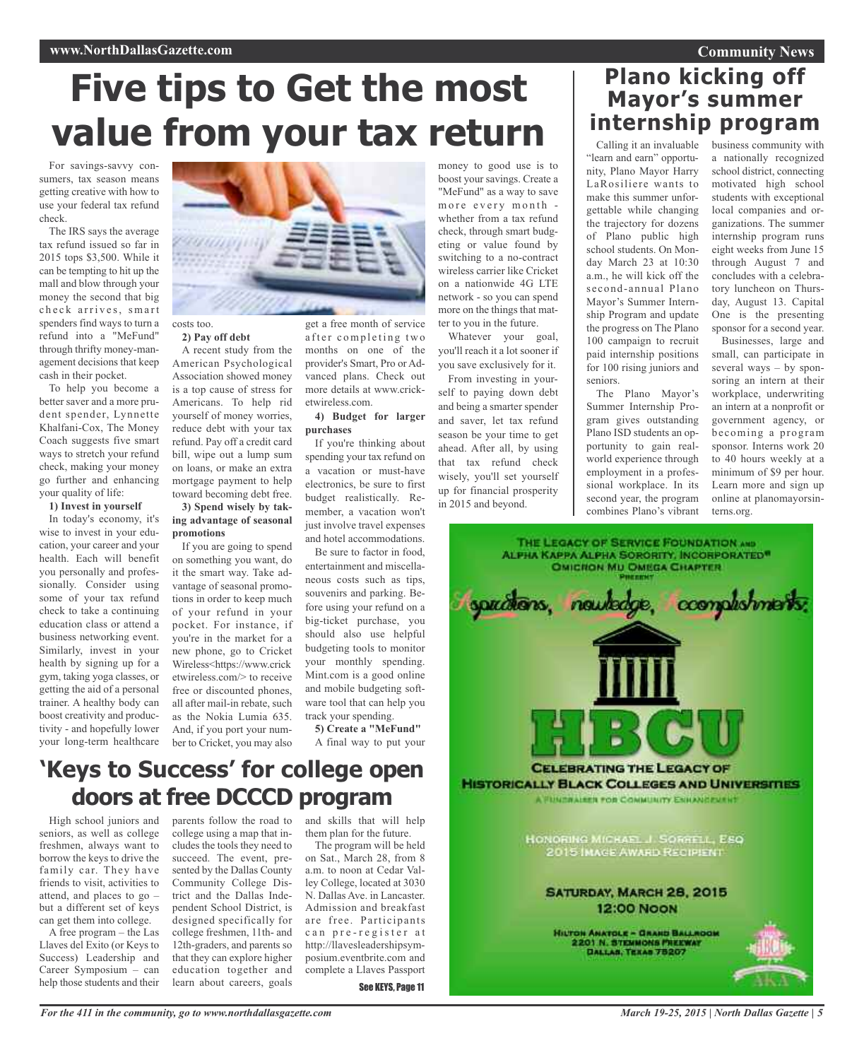## **Community News**

# **Five tips to Get the most value from your tax return**

For savings-savvy consumers, tax season means getting creative with how to use your federal tax refund check.

The IRS says the average tax refund issued so far in 2015 tops \$3,500. While it can be tempting to hit up the mall and blow through your money the second that big check arrives, smart spenders find ways to turn a refund into a "MeFund" through thrifty money-management decisions that keep cash in their pocket.

To help you become a better saver and a more prudent spender, Lynnette Khalfani-Cox, The Money Coach suggests five smart ways to stretch your refund check, making your money go further and enhancing your quality of life:

#### **1) Invest in yourself**

In today's economy, it's wise to invest in your education, your career and your health. Each will benefit you personally and professionally. Consider using some of your tax refund check to take a continuing education class or attend a business networking event. Similarly, invest in your health by signing up for a gym, taking yoga classes, or getting the aid of a personal trainer. A healthy body can boost creativity and productivity - and hopefully lower your long-term healthcare



#### costs too. **2) Pay off debt**

A recent study from the American Psychological Association showed money is a top cause of stress for Americans. To help rid yourself of money worries, reduce debt with your tax refund. Pay off a credit card bill, wipe out a lump sum on loans, or make an extra mortgage payment to help toward becoming debt free.

#### **3) Spend wisely by taking advantage of seasonal promotions**

If you are going to spend on something you want, do it the smart way. Take advantage of seasonal promotions in order to keep much of your refund in your pocket. For instance, if you're in the market for a new phone, go to Cricket Wireless<https://www.crick etwireless.com/> to receive free or discounted phones, all after mail-in rebate, such as the Nokia Lumia 635. And, if you port your number to Cricket, you may also

after completing two months on one of the provider's Smart, Pro or Advanced plans. Check out more details at www.cricketwireless.com.

get a free month of service

#### **4) Budget for larger purchases**

If you're thinking about spending your tax refund on a vacation or must-have electronics, be sure to first budget realistically. Remember, a vacation won't just involve travel expenses and hotel accommodations.

Be sure to factor in food, entertainment and miscellaneous costs such as tips, souvenirs and parking. Before using your refund on a big-ticket purchase, you should also use helpful budgeting tools to monitor your monthly spending. Mint.com is a good online and mobile budgeting software tool that can help you track your spending.

**5) Create a "MeFund"** A final way to put your money to good use is to boost your savings. Create a "MeFund" as a way to save more every month whether from a tax refund check, through smart budgeting or value found by switching to a no-contract wireless carrier like Cricket on a nationwide 4G LTE network - so you can spend more on the things that matter to you in the future.

Whatever your goal, you'll reach it a lot sooner if you save exclusively for it.

From investing in yourself to paying down debt and being a smarter spender and saver, let tax refund season be your time to get ahead. After all, by using that tax refund check wisely, you'll set yourself up for financial prosperity in 2015 and beyond.

## Calling it an invaluable business community with "learn and earn" opportu-**Plano kicking off Mayor's summer internship program**

nity, Plano Mayor Harry LaRosiliere wants to make this summer unforgettable while changing the trajectory for dozens of Plano public high school students. On Monday March 23 at 10:30 a.m., he will kick off the second-annual Plano Mayor's Summer Internship Program and update the progress on The Plano 100 campaign to recruit paid internship positions for 100 rising juniors and seniors.

The Plano Mayor's Summer Internship Program gives outstanding Plano ISD students an opportunity to gain realworld experience through employment in a professional workplace. In its second year, the program combines Plano's vibrant a nationally recognized school district, connecting motivated high school students with exceptional local companies and organizations. The summer internship program runs eight weeks from June 15 through August 7 and concludes with a celebratory luncheon on Thursday, August 13. Capital One is the presenting sponsor for a second year.

Businesses, large and small, can participate in several ways – by sponsoring an intern at their workplace, underwriting an intern at a nonprofit or government agency, or becoming a program sponsor. Interns work 20 to 40 hours weekly at a minimum of \$9 per hour. Learn more and sign up online at planomayorsinterns.org.



## **'Keys to Success' for college open doors at free DCCCD program**

High school juniors and seniors, as well as college freshmen, always want to borrow the keys to drive the family car. They have friends to visit, activities to attend, and places to go – but a different set of keys can get them into college.

A free program – the Las Llaves del Exito (or Keys to Success) Leadership and Career Symposium – can help those students and their

parents follow the road to college using a map that includes the tools they need to succeed. The event, presented by the Dallas County Community College District and the Dallas Independent School District, is designed specifically for college freshmen, 11th- and 12th-graders, and parents so that they can explore higher education together and learn about careers, goals

and skills that will help them plan for the future.

The program will be held on Sat., March 28, from 8 a.m. to noon at Cedar Valley College, located at 3030 N. Dallas Ave. in Lancaster. Admission and breakfast are free. Participants can pre-register at http://llavesleadershipsymposium.eventbrite.com and complete a Llaves Passport

See KEYS, Page 11

*March 19-25, 2015 | North Dallas Gazette | 5*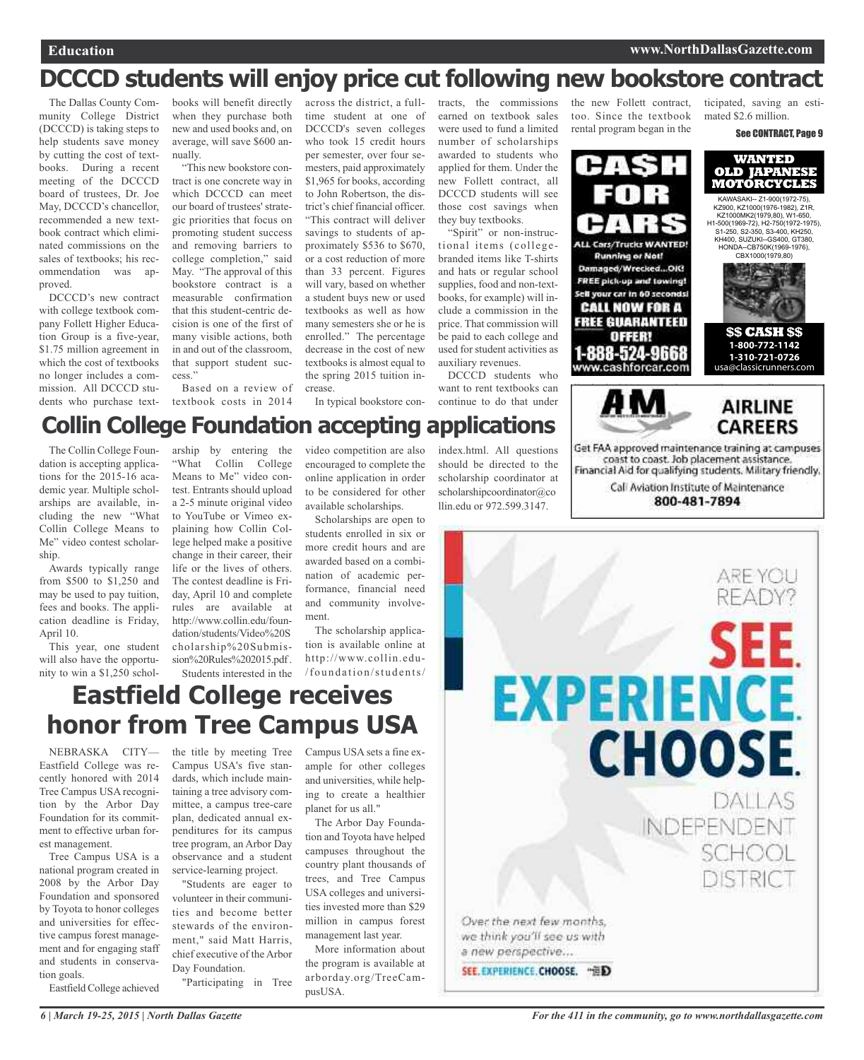## **DCCCD students will enjoy price cut following new bookstore contract**

The Dallas County Community College District (DCCCD) is taking steps to help students save money by cutting the cost of textbooks. During a recent meeting of the DCCCD board of trustees, Dr. Joe May, DCCCD's chancellor, recommended a new textbook contract which eliminated commissions on the sales of textbooks; his recommendation was approved.

DCCCD's new contract with college textbook company Follett Higher Education Group is a five-year, \$1.75 million agreement in which the cost of textbooks no longer includes a commission. All DCCCD students who purchase text-

The Collin College Foundation is accepting applications for the 2015-16 academic year. Multiple scholarships are available, including the new "What Collin College Means to Me" video contest scholar-

Awards typically range from \$500 to \$1,250 and may be used to pay tuition, fees and books. The application deadline is Friday,

This year, one student will also have the opportunity to win a \$1,250 schol-

ship.

April 10.

books will benefit directly when they purchase both new and used books and, on average, will save \$600 annually.

"This new bookstore contract is one concrete way in which DCCCD can meet our board of trustees' strategic priorities that focus on promoting student success and removing barriers to college completion," said May. "The approval of this bookstore contract is a measurable confirmation that this student-centric decision is one of the first of many visible actions, both in and out of the classroom, that support student success."

Based on a review of textbook costs in 2014

arship by entering the "What Collin College Means to Me" video contest. Entrants should upload a 2-5 minute original video to YouTube or Vimeo explaining how Collin College helped make a positive change in their career, their life or the lives of others. The contest deadline is Friday, April 10 and complete rules are available at http://www.collin.edu/foundation/students/Video%20S cholarship%20Submission%20Rules%202015.pdf. Students interested in the

across the district, a fulltime student at one of DCCCD's seven colleges who took 15 credit hours per semester, over four semesters, paid approximately \$1,965 for books, according to John Robertson, the district's chief financial officer. "This contract will deliver savings to students of approximately \$536 to \$670, or a cost reduction of more than 33 percent. Figures will vary, based on whether a student buys new or used textbooks as well as how many semesters she or he is enrolled." The percentage decrease in the cost of new textbooks is almost equal to the spring 2015 tuition increase.

video competition are also encouraged to complete the online application in order to be considered for other available scholarships. Scholarships are open to students enrolled in six or more credit hours and are awarded based on a combination of academic performance, financial need and community involve-

In typical bookstore con-

ment.

**Collin College Foundation accepting applications**

tracts, the commissions earned on textbook sales were used to fund a limited number of scholarships awarded to students who applied for them. Under the new Follett contract, all DCCCD students will see those cost savings when they buy textbooks.

"Spirit" or non-instructional items (collegebranded items like T-shirts and hats or regular school supplies, food and non-textbooks, for example) will include a commission in the price. That commission will be paid to each college and used for student activities as auxiliary revenues.

DCCCD students who want to rent textbooks can continue to do that under

index.html. All questions should be directed to the scholarship coordinator at scholarshipcoordinator@co llin.edu or 972.599.3147.

the new Follett contract, too. Since the textbook rental program began in the



ticipated, saving an estimated \$2.6 million. See CONTRACT, Page 9



**\$\$ CASH \$\$ 1-800-772-1142 1-310-721-0726**  classicrunners.com



Get FAA approved maintenance training at campuses coast to coast. Job placement assistance. Financial Aid for qualifying students. Military friendly,

> Call Aviation Institute of Maintenance 800-481-7894



**Eastfield College receives honor from Tree Campus USA**

NEBRASKA CITY— Eastfield College was recently honored with 2014 Tree Campus USA recognition by the Arbor Day Foundation for its commitment to effective urban forest management.

Tree Campus USA is a national program created in 2008 by the Arbor Day Foundation and sponsored by Toyota to honor colleges and universities for effective campus forest management and for engaging staff and students in conservation goals.

Eastfield College achieved

the title by meeting Tree Campus USA's five standards, which include maintaining a tree advisory committee, a campus tree-care plan, dedicated annual expenditures for its campus tree program, an Arbor Day observance and a student service-learning project.

"Students are eager to volunteer in their communities and become better stewards of the environment," said Matt Harris, chief executive of the Arbor Day Foundation.

"Participating in Tree

Campus USA sets a fine example for other colleges and universities, while helping to create a healthier planet for us all."

The scholarship application is available online at http://www.collin.edu- /foundation/students/

The Arbor Day Foundation and Toyota have helped campuses throughout the country plant thousands of trees, and Tree Campus USA colleges and universities invested more than \$29 million in campus forest management last year.

More information about the program is available at arborday.org/TreeCampusUSA.

*6 | March 19-25, 2015 | North Dallas Gazette*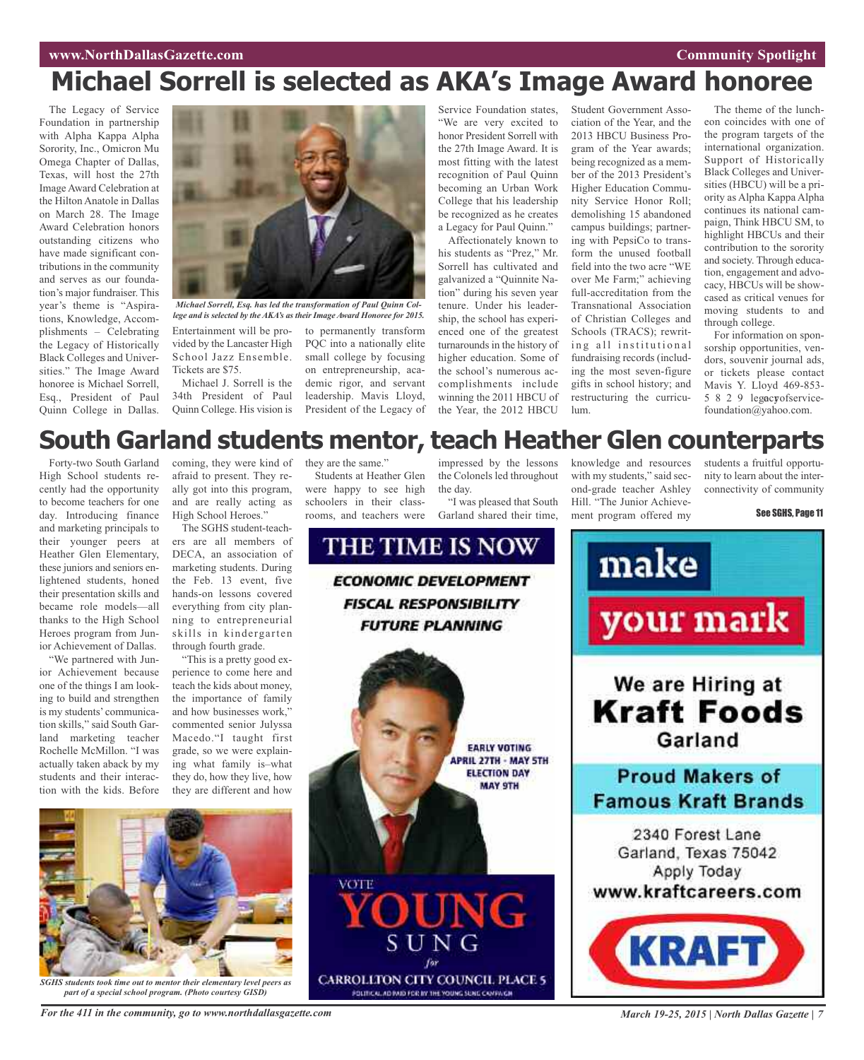## **www.NorthDallasGazette.com Community** Spotlight

## **Michael Sorrell is selected as AKA's Image Award honoree**

The Legacy of Service Foundation in partnership with Alpha Kappa Alpha Sorority, Inc., Omicron Mu Omega Chapter of Dallas, Texas, will host the 27th Image Award Celebration at the Hilton Anatole in Dallas on March 28. The Image Award Celebration honors outstanding citizens who have made significant contributions in the community and serves as our foundation's major fundraiser. This year's theme is "Aspirations, Knowledge, Accomplishments – Celebrating the Legacy of Historically Black Colleges and Universities." The Image Award honoree is Michael Sorrell, Esq., President of Paul Quinn College in Dallas.



*Michael Sorrell, Esq. has led the transformation of Paul Quinn College and is selected by the AKA's as their Image Award Honoree for 2015.*

Entertainment will be provided by the Lancaster High School Jazz Ensemble. Tickets are \$75.

Michael J. Sorrell is the 34th President of Paul Quinn College. His vision is

to permanently transform PQC into a nationally elite small college by focusing on entrepreneurship, academic rigor, and servant leadership. Mavis Lloyd, President of the Legacy of

Service Foundation states, "We are very excited to honor President Sorrell with the 27th Image Award. It is most fitting with the latest recognition of Paul Quinn becoming an Urban Work College that his leadership be recognized as he creates a Legacy for Paul Quinn."

Affectionately known to his students as "Prez," Mr. Sorrell has cultivated and galvanized a "Quinnite Nation" during his seven year tenure. Under his leadership, the school has experienced one of the greatest turnarounds in the history of higher education. Some of the school's numerous accomplishments include winning the 2011 HBCU of the Year, the 2012 HBCU

Student Government Association of the Year, and the 2013 HBCU Business Program of the Year awards; being recognized as a member of the 2013 President's Higher Education Community Service Honor Roll; demolishing 15 abandoned campus buildings; partnering with PepsiCo to transform the unused football field into the two acre "WE over Me Farm;" achieving full-accreditation from the Transnational Association of Christian Colleges and Schools (TRACS); rewriting all institutional fundraising records (including the most seven-figure gifts in school history; and restructuring the curriculum.

The theme of the luncheon coincides with one of the program targets of the international organization. Support of Historically Black Colleges and Universities (HBCU) will be a priority as Alpha Kappa Alpha continues its national campaign, Think HBCU SM, to highlight HBCUs and their contribution to the sorority and society. Through education, engagement and advocacy, HBCUs will be showcased as critical venues for moving students to and through college.

For information on sponsorship opportunities, vendors, souvenir journal ads, or tickets please contact Mavis Y. Lloyd 469-853- 5 8 2 9 legacyofservicefoundation@yahoo.com.

## **South Garland students mentor, teach Heather Glen counterparts**

Forty-two South Garland High School students recently had the opportunity to become teachers for one day. Introducing finance and marketing principals to their younger peers at Heather Glen Elementary, these juniors and seniors enlightened students, honed their presentation skills and became role models—all thanks to the High School Heroes program from Junior Achievement of Dallas.

We partnered with Junior Achievement because one of the things I am looking to build and strengthen is my students' communication skills," said South Garland marketing teacher Rochelle McMillon. "I was actually taken aback by my students and their interaction with the kids. Before coming, they were kind of afraid to present. They really got into this program, and are really acting as High School Heroes."

The SGHS student-teachers are all members of DECA, an association of marketing students. During the Feb. 13 event, five hands-on lessons covered everything from city planning to entrepreneurial skills in kindergarten through fourth grade.

"This is a pretty good experience to come here and teach the kids about money, the importance of family and how businesses work," commented senior Julyssa Macedo."I taught first grade, so we were explaining what family is–what they do, how they live, how they are different and how they are the same."

Students at Heather Glen were happy to see high schoolers in their classrooms, and teachers were

impressed by the lessons the Colonels led throughout the day. "I was pleased that South

Garland shared their time,

knowledge and resources with my students," said second-grade teacher Ashley Hill. "The Junior Achievement program offered my

students a fruitful opportunity to learn about the interconnectivity of community

See SGHS, Page 11





*SGHS students took time out to mentor their elementary level peers as part of a special school program. (Photo courtesy GISD)*

For the 411 in the community, go to www.northdallasgazette.com March 19-25, 2015 | North Dallas Gazette | 7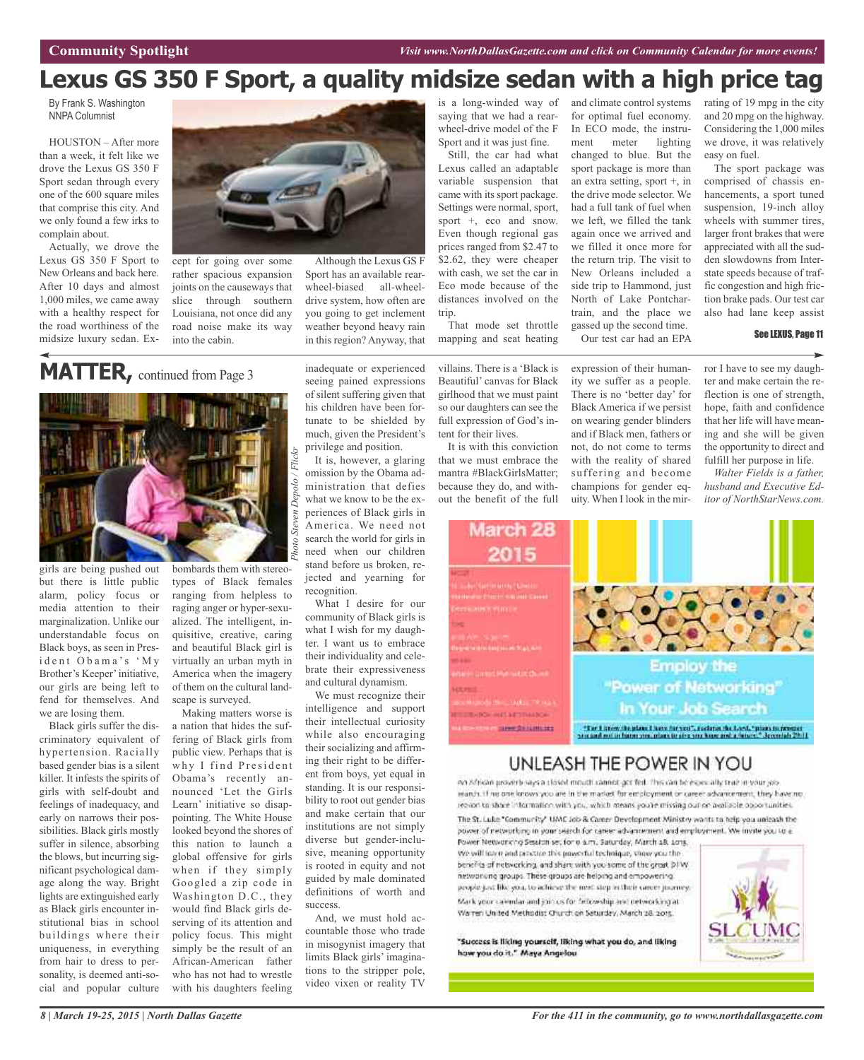## **Lexus GS 350 F Sport, a quality midsize sedan with a high price tag**

By Frank S. Washington NNPA Columnist

HOUSTON – After more than a week, it felt like we drove the Lexus GS 350 F Sport sedan through every one of the 600 square miles that comprise this city. And we only found a few irks to complain about.

Actually, we drove the Lexus GS 350 F Sport to New Orleans and back here. After 10 days and almost 1,000 miles, we came away with a healthy respect for the road worthiness of the midsize luxury sedan. Ex-



cept for going over some rather spacious expansion joints on the causeways that slice through southern Louisiana, not once did any road noise make its way into the cabin.

## **MATTER,** continued from Page <sup>3</sup>



girls are being pushed out but there is little public alarm, policy focus or media attention to their marginalization. Unlike our understandable focus on Black boys, as seen in Presi d e n t O b a m a 's ' M y Brother's Keeper'initiative, our girls are being left to fend for themselves. And we are losing them.

Black girls suffer the discriminatory equivalent of hypertension. Racially based gender bias is a silent killer. It infests the spirits of girls with self-doubt and feelings of inadequacy, and early on narrows their possibilities. Black girls mostly suffer in silence, absorbing the blows, but incurring significant psychological damage along the way. Bright lights are extinguished early as Black girls encounter institutional bias in school buildings where their uniqueness, in everything from hair to dress to personality, is deemed anti-social and popular culture bombards them with stereotypes of Black females ranging from helpless to raging anger or hyper-sexualized. The intelligent, inquisitive, creative, caring and beautiful Black girl is virtually an urban myth in America when the imagery of them on the cultural landscape is surveyed.

Making matters worse is a nation that hides the suffering of Black girls from public view. Perhaps that is why I find President Obama's recently announced 'Let the Girls Learn' initiative so disappointing. The White House looked beyond the shores of this nation to launch a global offensive for girls when if they simply Googled a zip code in Washington D.C., they would find Black girls deserving of its attention and policy focus. This might simply be the result of an African-American father who has not had to wrestle with his daughters feeling

inadequate or experienced seeing pained expressions of silent suffering given that his children have been fortunate to be shielded by much, given the President's

Although the Lexus GS F Sport has an available rearwheel-biased all-wheeldrive system, how often are you going to get inclement weather beyond heavy rain in this region? Anyway, that

privilege and position. It is, however, a glaring omission by the Obama administration that defies what we know to be the experiences of Black girls in America. We need not search the world for girls in need when our children stand before us broken, rejected and yearning for recognition.

What I desire for our community of Black girls is what I wish for my daughter. I want us to embrace their individuality and celebrate their expressiveness and cultural dynamism.

We must recognize their intelligence and support their intellectual curiosity while also encouraging their socializing and affirming their right to be different from boys, yet equal in standing. It is our responsibility to root out gender bias and make certain that our institutions are not simply diverse but gender-inclusive, meaning opportunity is rooted in equity and not guided by male dominated definitions of worth and success.

And, we must hold accountable those who trade in misogynist imagery that limits Black girls' imaginations to the stripper pole, video vixen or reality TV is a long-winded way of saying that we had a rearwheel-drive model of the F Sport and it was just fine.

Still, the car had what Lexus called an adaptable variable suspension that came with its sport package. Settings were normal, sport, sport +, eco and snow. Even though regional gas prices ranged from \$2.47 to \$2.62, they were cheaper with cash, we set the car in Eco mode because of the distances involved on the trip.

That mode set throttle mapping and seat heating

villains. There is a 'Black is Beautiful' canvas for Black girlhood that we must paint so our daughters can see the full expression of God's intent for their lives.

It is with this conviction that we must embrace the mantra #BlackGirlsMatter; because they do, and without the benefit of the full for optimal fuel economy. In ECO mode, the instrument meter lighting changed to blue. But the sport package is more than an extra setting, sport +, in the drive mode selector. We had a full tank of fuel when we left, we filled the tank again once we arrived and we filled it once more for the return trip. The visit to New Orleans included a side trip to Hammond, just North of Lake Pontchartrain, and the place we gassed up the second time. Our test car had an EPA

and climate control systems

expression of their humanity we suffer as a people. There is no 'better day' for Black America if we persist on wearing gender blinders and if Black men, fathers or not, do not come to terms with the reality of shared suffering and become champions for gender equity. When I look in the mirrating of 19 mpg in the city and 20 mpg on the highway. Considering the 1,000 miles we drove, it was relatively easy on fuel.

The sport package was comprised of chassis enhancements, a sport tuned suspension, 19-inch alloy wheels with summer tires, larger front brakes that were appreciated with all the sudden slowdowns from Interstate speeds because of traffic congestion and high friction brake pads. Our test car also had lane keep assist

### See LEXUS, Page 11

ror I have to see my daughter and make certain the reflection is one of strength, hope, faith and confidence that her life will have meaning and she will be given the opportunity to direct and fulfill her purpose in life.

*Walter Fields is a father, husband and Executive Editor of NorthStarNews.com.*



## UNLEASH THE POWER IN YOU

no African provide says a closed mouth cannot get fed. This can be increasily true in your job. search. If no one knows you are in the market for employment or career advancement, they have no. reploci to share information with you, which means you're missing out on available opportunities.

The St. Luke "Community" UAAC Job & Career Development Ministry wonts to help you unleash the power of networking in your search for career advancement and employment. We invite you to a

Power Networking Seaton set for o aim, Saturday, March a8, 1015. We will have and practice this powerful technique, youw you the benefits of networking, and share with you some of the great DIW. hetwoneng groups. These groups are helping and empowering. people just like you, to achieve the most step in their career journey. Mark your calendar and join us for finlowship and detworking at Warren United Methodist Church on Saturday, March 28, 2015.

"Success is liking yourself, liking what you do, and liking how you do it." Maya Angelou.

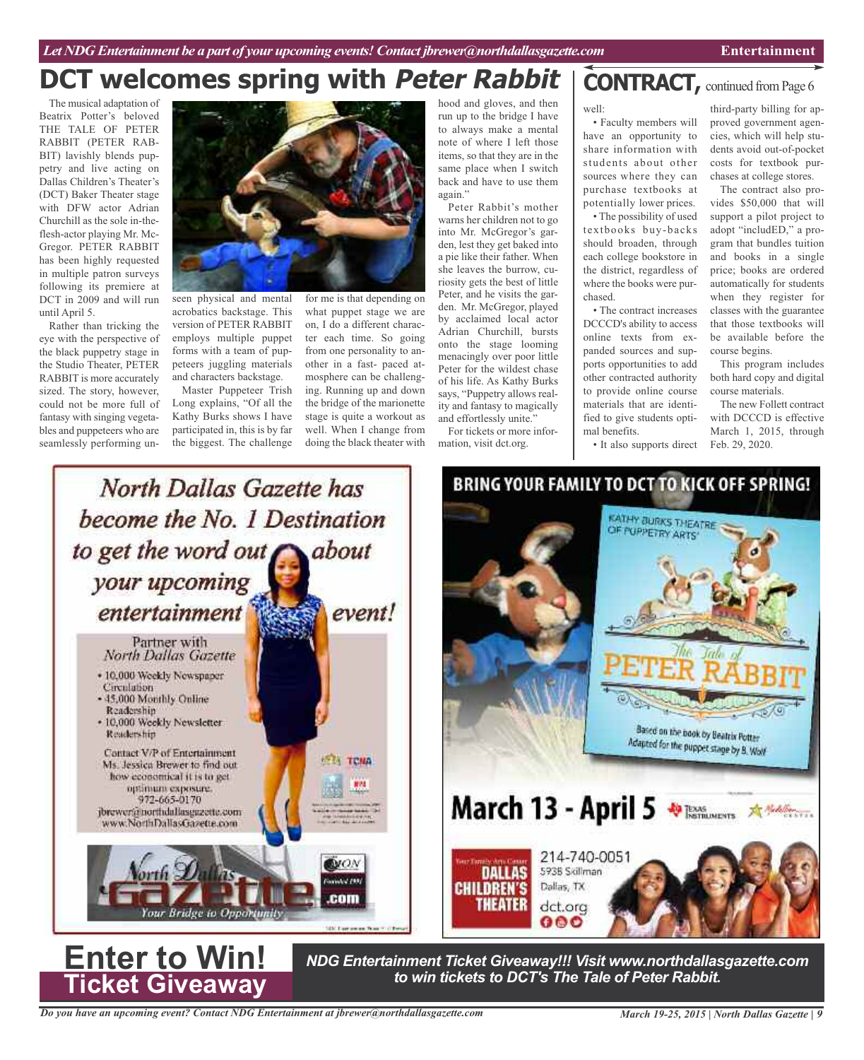# **DCT** welcomes spring with *Peter Rabbit* | CONTRACT, continued from Page 6

The musical adaptation of Beatrix Potter's beloved THE TALE OF PETER RABBIT (PETER RAB-BIT) lavishly blends puppetry and live acting on Dallas Children's Theater's (DCT) Baker Theater stage with DFW actor Adrian Churchill as the sole in-theflesh-actor playing Mr. Mc-Gregor. PETER RABBIT has been highly requested in multiple patron surveys following its premiere at DCT in 2009 and will run until April 5.

Rather than tricking the eye with the perspective of the black puppetry stage in the Studio Theater, PETER RABBIT is more accurately sized. The story, however, could not be more full of fantasy with singing vegetables and puppeteers who are seamlessly performing un-



seen physical and mental acrobatics backstage. This version of PETER RABBIT employs multiple puppet forms with a team of puppeteers juggling materials and characters backstage.

Master Puppeteer Trish Long explains, "Of all the Kathy Burks shows I have participated in, this is by far the biggest. The challenge

for me is that depending on what puppet stage we are on, I do a different character each time. So going from one personality to another in a fast- paced atmosphere can be challenging. Running up and down the bridge of the marionette stage is quite a workout as well. When I change from doing the black theater with

hood and gloves, and then run up to the bridge I have to always make a mental note of where I left those items, so that they are in the same place when I switch back and have to use them again."

Peter Rabbit's mother warns her children not to go into Mr. McGregor's garden, lest they get baked into a pie like their father. When she leaves the burrow, curiosity gets the best of little Peter, and he visits the garden. Mr. McGregor, played by acclaimed local actor Adrian Churchill, bursts onto the stage looming menacingly over poor little Peter for the wildest chase of his life. As Kathy Burks says, "Puppetry allows reality and fantasy to magically and effortlessly unite."

For tickets or more information, visit dct.org.

## well:

• Faculty members will have an opportunity to share information with students about other sources where they can purchase textbooks at potentially lower prices.

• The possibility of used textbooks buy-backs should broaden, through each college bookstore in the district, regardless of where the books were purchased.

• The contract increases DCCCD's ability to access online texts from expanded sources and supports opportunities to add other contracted authority to provide online course materials that are identified to give students optimal benefits.

• It also supports direct

**KATHY BURKS THEATRE** OF PUPPETRY ARTS

Based on the book by Beatrix Potter

Adapted for the puppet stage by 8. Work

third-party billing for approved government agencies, which will help students avoid out-of-pocket costs for textbook purchases at college stores.

The contract also provides \$50,000 that will support a pilot project to adopt "includED," a program that bundles tuition and books in a single price; books are ordered automatically for students when they register for classes with the guarantee that those textbooks will be available before the course begins.

This program includes both hard copy and digital course materials.

The new Follett contract with DCCCD is effective March 1, 2015, through Feb. 29, 2020.



*NDG Entertainment Ticket Giveaway!!! Visit www.northdallasgazette.com* **to** *Win!* NDG Entertainment Ticket Giveaway!!! Visit www.northdallas<br>Ticket Giveaway

214-740-0051

593B Skillman

Dallas, TX

dct.org

000

*Do you have an upcoming event? Contact NDG Entertainment at jbrewer@northdallasgazette.com*

**Ticket Giveaway**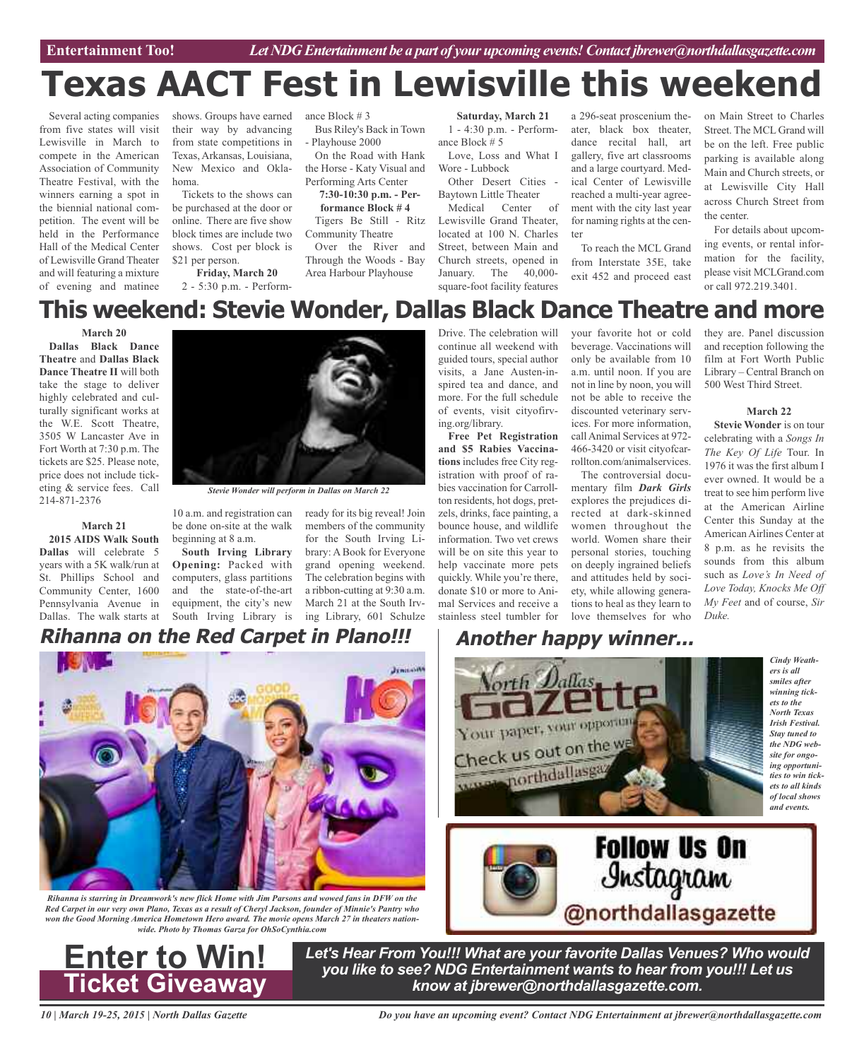Entertainment Too! *Let NDG Entertainment be a part of your upcoming events! Contact jbrewer@northdallasgazette.com* 

# **Texas AACT Fest in Lewisville this weekend**

Several acting companies from five states will visit Lewisville in March to compete in the American Association of Community Theatre Festival, with the winners earning a spot in the biennial national competition. The event will be held in the Performance Hall of the Medical Center of Lewisville Grand Theater and will featuring a mixture of evening and matinee

shows. Groups have earned their way by advancing from state competitions in Texas, Arkansas, Louisiana, New Mexico and Oklahoma.

Tickets to the shows can be purchased at the door or online. There are five show block times are include two shows. Cost per block is \$21 per person.

**Friday, March 20** 2 - 5:30 p.m. - Performance Block # 3

Bus Riley's Back in Town - Playhouse 2000

On the Road with Hank the Horse - Katy Visual and Performing Arts Center

**7:30-10:30 p.m. - Performance Block # 4** Tigers Be Still - Ritz

Community Theatre Over the River and Through the Woods - Bay

Area Harbour Playhouse

#### **Saturday, March 21**

1 - 4:30 p.m. - Performance Block # 5 Love, Loss and What I

Wore - Lubbock Other Desert Cities - Baytown Little Theater

Medical Center of Lewisville Grand Theater, located at 100 N. Charles Street, between Main and Church streets, opened in January. The 40,000 square-foot facility features

a 296-seat proscenium theater, black box theater, dance recital hall, art gallery, five art classrooms and a large courtyard. Medical Center of Lewisville reached a multi-year agreement with the city last year for naming rights at the center

To reach the MCL Grand from Interstate 35E, take exit 452 and proceed east

on Main Street to Charles Street. The MCL Grand will be on the left. Free public parking is available along Main and Church streets, or at Lewisville City Hall across Church Street from the center.

For details about upcoming events, or rental information for the facility, please visit MCLGrand.com or call 972.219.3401.

## **This weekend: Stevie Wonder, Dallas Black Dance Theatre and more**

**March 20**

**Dallas Black Dance Theatre** and **Dallas Black Dance Theatre II** will both take the stage to deliver highly celebrated and culturally significant works at the W.E. Scott Theatre, 3505 W Lancaster Ave in Fort Worth at 7:30 p.m. The tickets are \$25. Please note, price does not include ticketing & service fees. Call 214-871-2376

**March 21 2015 AIDS Walk South Dallas** will celebrate 5 years with a 5K walk/run at St. Phillips School and Community Center, 1600 Pennsylvania Avenue in Dallas. The walk starts at



*Stevie Wonder will perform in Dallas on March 22*

10 a.m. and registration can be done on-site at the walk beginning at 8 a.m.

**South Irving Library Opening:** Packed with computers, glass partitions and the state-of-the-art equipment, the city's new South Irving Library is ing Library, 601 Schulze

ready for its big reveal! Join members of the community for the South Irving Library: A Book for Everyone grand opening weekend. The celebration begins with a ribbon-cutting at 9:30 a.m. March 21 at the South IrvDrive. The celebration will continue all weekend with guided tours, special author visits, a Jane Austen-inspired tea and dance, and more. For the full schedule of events, visit cityofirving.org/library.

**Free Pet Registration and \$5 Rabies Vaccinations** includes free City registration with proof of rabies vaccination for Carrollton residents, hot dogs, pretzels, drinks, face painting, a bounce house, and wildlife information. Two vet crews will be on site this year to help vaccinate more pets quickly. While you're there, donate \$10 or more to Animal Services and receive a stainless steel tumbler for love themselves for who

your favorite hot or cold beverage. Vaccinations will only be available from 10 a.m. until noon. If you are not in line by noon, you will not be able to receive the discounted veterinary services. For more information, call Animal Services at 972- 466-3420 or visit cityofcarrollton.com/animalservices.

The controversial documentary film *Dark Girls* explores the prejudices directed at dark-skinned women throughout the world. Women share their personal stories, touching on deeply ingrained beliefs and attitudes held by society, while allowing generations to heal as they learn to

**Follow Us On** 

Instagram

@northdallasgazette

they are. Panel discussion and reception following the film at Fort Worth Public Library – Central Branch on 500 West Third Street.

### **March 22**

**Stevie Wonder** is on tour celebrating with a *Songs In The Key Of Life* Tour. In 1976 it was the first album I ever owned. It would be a treat to see him perform live at the American Airline Center this Sunday at the American Airlines Center at 8 p.m. as he revisits the sounds from this album such as *Love's In Need of Love Today, Knocks Me Off My Feet* and of course, *Sir Duke.*

> *Cindy Weathers is all smiles after winning tickets to the North Texas Irish Festival. Stay tuned to the NDG website for ongoing opportunities to win tickets to all kinds of local shows and events.*

#### **Rihanna on the Red Carpet in Plano!!! Another happy winner...**



*Rihanna is starring in Dreamwork's new flick Home with Jim Parsons and wowed fans in DFW on the* Red Carpet in our very own Plano, Texas as a result of Cheryl Jackson, founder of Minnie's Pantry who *won the Good Morning America Hometown Hero award. The movie opens March 27 in theaters nationwide. Photo by Thomas Garza for OhSoCynthia.com*



*Let's Hear From You!!! What are your favorite Dallas Venues? Who would you like to see? NDG Entertainment wants to hear from you!!! Let us know at jbrewer@northdallasgazette.com.*

Your paper, your opportun

Check us out on the we

www.porthdallasga

*10 | March 19-25, 2015 | North Dallas Gazette*

*Do you have an upcoming event? Contact NDG Entertainment at jbrewer@northdallasgazette.com*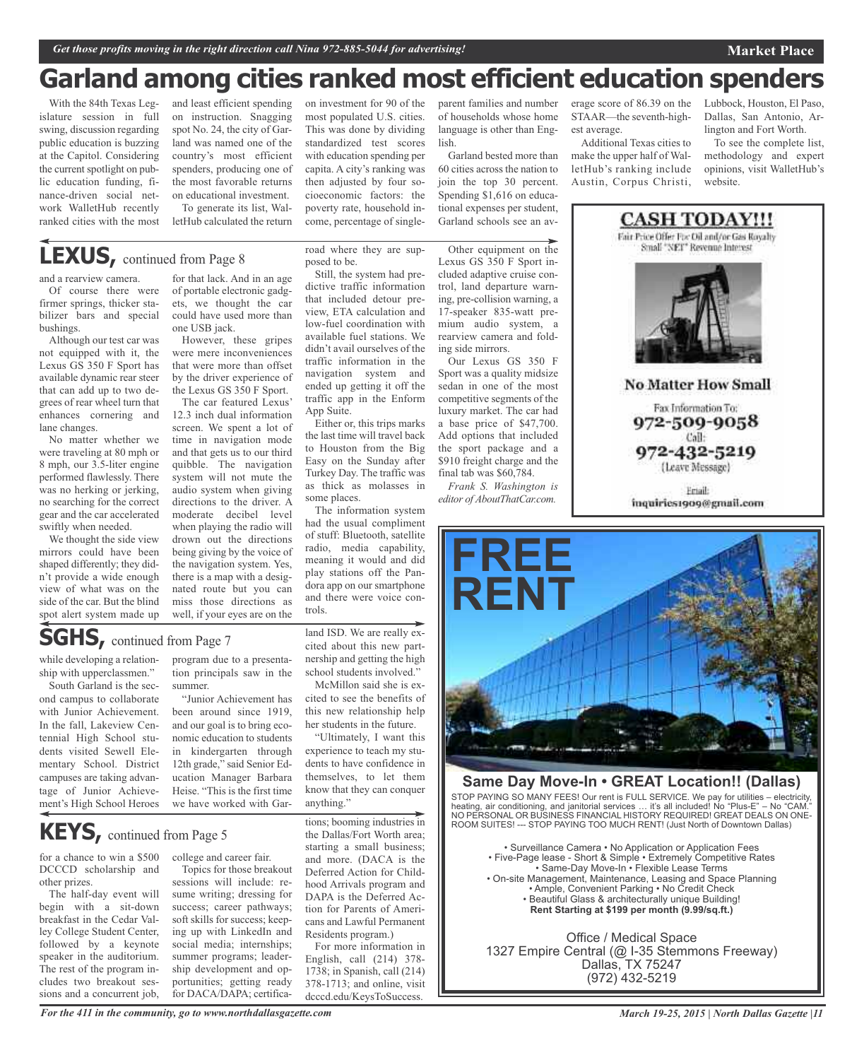## **Garland among cities ranked most efficient education spenders**

With the 84th Texas Legislature session in full swing, discussion regarding public education is buzzing at the Capitol. Considering the current spotlight on public education funding, finance-driven social network WalletHub recently ranked cities with the most

and least efficient spending on instruction. Snagging spot No. 24, the city of Garland was named one of the country's most efficient spenders, producing one of the most favorable returns on educational investment.

To generate its list, WalletHub calculated the return

## **LEXUS,** continued from Page <sup>8</sup>

and a rearview camera.

Of course there were firmer springs, thicker stabilizer bars and special bushings.

Although our test car was not equipped with it, the Lexus GS 350 F Sport has available dynamic rear steer that can add up to two degrees of rear wheel turn that enhances cornering and lane changes.

No matter whether we were traveling at 80 mph or 8 mph, our 3.5-liter engine performed flawlessly. There was no herking or jerking, no searching for the correct gear and the car accelerated swiftly when needed.

We thought the side view mirrors could have been shaped differently; they didn't provide a wide enough view of what was on the side of the car. But the blind spot alert system made up

for that lack. And in an age of portable electronic gadgets, we thought the car could have used more than one USB jack.

However, these gripes were mere inconveniences that were more than offset by the driver experience of the Lexus GS 350 F Sport.

The car featured Lexus' 12.3 inch dual information screen. We spent a lot of time in navigation mode and that gets us to our third quibble. The navigation system will not mute the audio system when giving directions to the driver. A moderate decibel level when playing the radio will drown out the directions being giving by the voice of the navigation system. Yes, there is a map with a designated route but you can miss those directions as well, if your eyes are on the

road where they are supposed to be.

on investment for 90 of the most populated U.S. cities. This was done by dividing standardized test scores with education spending per capita. A city's ranking was then adjusted by four socioeconomic factors: the poverty rate, household income, percentage of single-

Still, the system had predictive traffic information that included detour preview, ETA calculation and low-fuel coordination with available fuel stations. We didn't avail ourselves of the traffic information in the navigation system and ended up getting it off the traffic app in the Enform App Suite.

Either or, this trips marks the last time will travel back to Houston from the Big Easy on the Sunday after Turkey Day. The traffic was as thick as molasses in some places.

The information system had the usual compliment of stuff: Bluetooth, satellite radio, media capability, meaning it would and did play stations off the Pandora app on our smartphone and there were voice controls.

## **SGHS,** continued from Page <sup>7</sup>

while developing a relationship with upperclassmen."

South Garland is the second campus to collaborate with Junior Achievement. In the fall, Lakeview Centennial High School students visited Sewell Elementary School. District campuses are taking advantage of Junior Achievement's High School Heroes

program due to a presentation principals saw in the summer.

"Junior Achievement has been around since 1919, and our goal is to bring economic education to students in kindergarten through 12th grade," said Senior Education Manager Barbara Heise. "This is the first time we have worked with Gar-

**KEYS,** continued from Page <sup>5</sup>

for a chance to win a \$500 DCCCD scholarship and other prizes.

The half-day event will begin with a sit-down breakfast in the Cedar Valley College Student Center, followed by a keynote speaker in the auditorium. The rest of the program includes two breakout sessions and a concurrent job,

college and career fair.

Topics for those breakout sessions will include: resume writing; dressing for success; career pathways; soft skills for success; keeping up with LinkedIn and social media; internships; summer programs; leadership development and opportunities; getting ready for DACA/DAPA; certificaland ISD. We are really excited about this new partnership and getting the high school students involved."

McMillon said she is excited to see the benefits of this new relationship help her students in the future.

"Ultimately, I want this experience to teach my students to have confidence in themselves, to let them know that they can conquer anything."

tions; booming industries in the Dallas/Fort Worth area; starting a small business; and more. (DACA is the Deferred Action for Childhood Arrivals program and DAPA is the Deferred Action for Parents of Americans and Lawful Permanent Residents program.)

For more information in English, call (214) 378- 1738; in Spanish, call (214) 378-1713; and online, visit dcccd.edu/KeysToSuccess.

parent families and number of households whose home language is other than English.

Garland bested more than 60 cities across the nation to join the top 30 percent. Spending \$1,616 on educational expenses per student, Garland schools see an av-

Other equipment on the Lexus GS 350 F Sport included adaptive cruise control, land departure warning, pre-collision warning, a 17-speaker 835-watt premium audio system, a rearview camera and fold-

Our Lexus GS 350 F Sport was a quality midsize sedan in one of the most competitive segments of the luxury market. The car had a base price of \$47,700. Add options that included the sport package and a \$910 freight charge and the final tab was \$60,784. *Frank S. Washington is editor of AboutThatCar.com.*

ing side mirrors.

erage score of 86.39 on the STAAR—the seventh-highest average.

Additional Texas cities to make the upper half of WalletHub's ranking include Austin, Corpus Christi,

Lubbock, Houston, El Paso, Dallas, San Antonio, Arlington and Fort Worth.

To see the complete list, methodology and expert opinions, visit WalletHub's website.



Fax Information To: 972-509-9058 Call: 972-432-5219

(Leave Message)

Friail: inquiries1909@gmail.com



## **Same Day Move-In • GREAT Location!! (Dallas)**

STOP PAYING SO MANY FEES! Our rent is FULL SERVICE. We pay for utilities – electricity, heating, air conditioning, and janitorial services … it's all included! No "Plus-E" – No "CAM." NO PERSONAL OR BUSINESS FINANCIAL HISTORY REQUIRED! GREAT DEALS ON ONE-ROOM SUITES! --- STOP PAYING TOO MUCH RENT! (Just North of Downtown Dallas)

• Surveillance Camera • No Application or Application Fees • Five-Page lease - Short & Simple • Extremely Competitive Rates • Same-Day Move-In • Flexible Lease Terms • On-site Management, Maintenance, Leasing and Space Planning • Ample, Convenient Parking • No Credit Check • Beautiful Glass & architecturally unique Building! **Rent Starting at \$199 per month (9.99/sq.ft.)**

Office / Medical Space 1327 Empire Central (@ I-35 Stemmons Freeway) Dallas, TX 75247 (972) 432-5219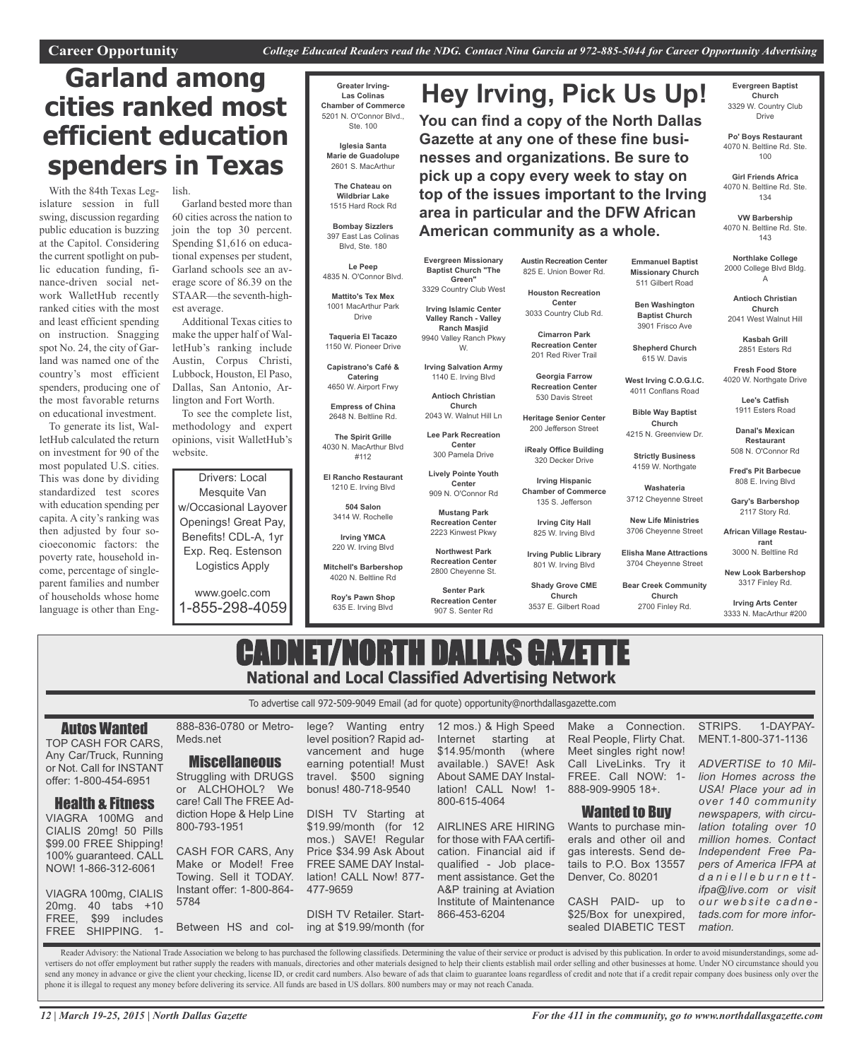**Hey Irving, Pick Us Up!**

**You can find a copy of the North Dallas Gazette at any one of these fine businesses and organizations. Be sure to pick up a copy every week to stay on top of the issues important to the Irving area in particular and the DFW African**

## **Garland among cities ranked most efficient education spenders in Texas**

With the 84th Texas Legislature session in full swing, discussion regarding public education is buzzing at the Capitol. Considering the current spotlight on public education funding, finance-driven social network WalletHub recently ranked cities with the most and least efficient spending on instruction. Snagging spot No. 24, the city of Garland was named one of the country's most efficient spenders, producing one of the most favorable returns on educational investment.

To generate its list, WalletHub calculated the return on investment for 90 of the most populated U.S. cities. This was done by dividing standardized test scores with education spending per capita. A city's ranking was then adjusted by four socioeconomic factors: the poverty rate, household income, percentage of singleparent families and number of households whose home language is other than Eng-

lish.

Garland bested more than 60 cities across the nation to join the top 30 percent. Spending \$1,616 on educational expenses per student, Garland schools see an average score of 86.39 on the STAAR—the seventh-highest average.

Additional Texas cities to make the upper half of WalletHub's ranking include Austin, Corpus Christi, Lubbock, Houston, El Paso, Dallas, San Antonio, Arlington and Fort Worth.

To see the complete list, methodology and expert opinions, visit WalletHub's website.

Drivers: Local Mesquite Van w/Occasional Layover Openings! Great Pay, Benefits! CDL-A, 1yr Exp. Req. Estenson Logistics Apply

www.goelc.com 1-855-298-4059

**Miscellaneous** 

diction Hope & Help Line

CASH FOR CARS, Any Make or Model! Free Towing. Sell it TODAY. Instant offer: 1-800-864-

800-793-1951

5784

Meds.net

**Greater Irving-Las Colinas Chamber of Commerce** 5201 N. O'Connor Blvd.,

**Iglesia Santa Marie de Guadolupe** 2601 S. MacArthur

**The Chateau on Wildbriar Lake** 1515 Hard Rock Rd

**Bombay Sizzlers** 397 East Las Colinas Blvd, Ste. 180

4835 N. O'Connor Blvd.

1001 MacArthur Park Drive

**Taqueria El Tacazo** 1150 W. Pioneer Drive

**Capistrano's Café & Catering** 4650 W. Airport Frwy

**Empress of China** 2648 N. Beltline Rd.

**The Spirit Grille** 4030 N. MacArthur Blvd #112

**El Rancho Restaurant** 1210 E. Irving Blvd

> **504 Salon** 3414 W. Rochelle

**Irving YMCA** 220 W. Irving Blvd

**Mitchell's Barbershop** 4020 N. Beltline Rd

**Roy's Pawn Shop** 635 E. Irving Blvd

Ste. 100

**Le Peep**

**Mattito's Tex Mex**

**Irving Salvation Army** 1140 E. Irving Blvd

> **Antioch Christian Church** 2043 W. Walnut Hill Ln

**Lee Park Recreation Center** 300 Pamela Drive

> **Lively Pointe Youth Center** 909 N. O'Connor Rd

**Evergreen Missionary Baptist Church "The Green"** 3329 Country Club West **Irving Islamic Center Valley Ranch - Valley Ranch Masjid** 9940 Valley Ranch Pkwy W.

**Mustang Park Recreation Center** 2223 Kinwest Pkwy

**Northwest Park Recreation Center**

2800 Cheyenne St. **Senter Park**

**Recreation Center** 907 S. Senter Rd

**Austin Recreation Center** 825 E. Union Bower Rd.

**American community as a whole.**

**Emmanuel Baptist Missionary Church** 511 Gilbert Road **Ben Washington Baptist Church** 3901 Frisco Ave **Shepherd Church** 615 W. Davis **West Irving C.O.G.I.C.** 4011 Conflans Road **Bible Way Baptist Church** 4215 N. Greenview Dr.

**Strictly Business** 4159 W. Northgate **Washateria** 3712 Cheyenne Street **New Life Ministries** 3706 Cheyenne Street **Elisha Mane Attractions** 3704 Cheyenne Street **Bear Creek Community Church** 2700 Finley Rd.

**Houston Recreation Center** 3033 Country Club Rd.

**Cimarron Park Recreation Center**

201 Red River Trail **Georgia Farrow**

**Recreation Center** 530 Davis Street

**Heritage Senior Center** 200 Jefferson Street

**iRealy Office Building** 320 Decker Drive

**Irving Hispanic Chamber of Commerce** 135 S. Jefferson

**Irving City Hall** 825 W. Irving Blvd

**Irving Public Library**

**Shady Grove CME Church**

3537 E. Gilbert Road

801 W. Irving Blvd

**Evergreen Baptist Church** 3329 W. Country Club Drive

**Po' Boys Restaurant** 4070 N. Beltline Rd. Ste. 100

**Girl Friends Africa** 4070 N. Beltline Rd. Ste. 134

**VW Barbership** 4070 N. Beltline Rd. Ste. 143

**Northlake College** 2000 College Blvd Bldg. A

**Antioch Christian Church** 2041 West Walnut Hill

**Kasbah Grill** 2851 Esters Rd

**Fresh Food Store** 4020 W. Northgate Drive

> **Lee's Catfish** 1911 Esters Road

**Danal's Mexican Restaurant** 508 N. O'Connor Rd

**Fred's Pit Barbecue** 808 E. Irving Blvd

**Gary's Barbershop** 2117 Story Rd.

**African Village Restaurant** 3000 N. Beltline Rd

**New Look Barbershop** 3317 Finley Rd.

**Irving Arts Center** 3333 N. MacArthur #200

## CADNET/NORTH DALLAS GAZETTE **National and Local Classified Advertising Network**

To advertise call 972-509-9049 Email (ad for quote) opportunity@northdallasgazette.com

Autos Wanted

TOP CASH FOR CARS, Any Car/Truck, Running or Not. Call for INSTANT offer: 1-800-454-6951

Health & Fitness VIAGRA 100MG and CIALIS 20mg! 50 Pills \$99.00 FREE Shipping! 100% guaranteed. CALL NOW! 1-866-312-6061

VIAGRA 100mg, CIALIS 20mg. 40 tabs +10 FREE, \$99 includes FREE SHIPPING. 1-

888-836-0780 or Metro-Struggling with DRUGS or ALCHOHOL? We care! Call The FREE Adlege? Wanting entry level position? Rapid advancement and huge earning potential! Must<br>travel. \$500 signing  $$500$  signing bonus! 480-718-9540

DISH TV Starting at \$19.99/month (for 12 mos.) SAVE! Regular Price \$34.99 Ask About FREE SAME DAY Installation! CALL Now! 877- 477-9659

Between HS and col-DISH TV Retailer. Starting at \$19.99/month (for

12 mos.) & High Speed Internet starting at \$14.95/month (where available.) SAVE! Ask About SAME DAY Installation! CALL Now! 1- 800-615-4064

AIRLINES ARE HIRING for those with FAA certification. Financial aid if qualified - Job placement assistance. Get the A&P training at Aviation Institute of Maintenance 866-453-6204

Make a Connection. Real People, Flirty Chat. Meet singles right now! Call LiveLinks. Try it FREE. Call NOW: 1- 888-909-9905 18+.

## Wanted to Buy

Wants to purchase minerals and other oil and gas interests. Send details to P.O. Box 13557 Denver, Co. 80201

CASH PAID- up to \$25/Box for unexpired, sealed DIABETIC TEST STRIPS. 1-DAYPAY-MENT.1-800-371-1136 *ADVERTISE to 10 Mil-*

*lion Homes across the USA! Place your ad in over 140 community newspapers, with circulation totaling over 10 million homes. Contact Independent Free Papers of America IFPA at d a n i e l l e b u r n e t t ifpa@live.com or visit o u r w e b s i t e c a d n e tads.com for more information.*

Reader Advisory: the National Trade Association we belong to has purchased the following classifieds. Determining the value of their service or product is advised by this publication. In order to avoid misunderstandings, s vertisers do not offer employment but rather supply the readers with manuals, directories and other materials designed to help their clients establish mail order selling and other businesses at home. Under NO circumstance send any money in advance or give the client your checking, license ID, or credit card numbers. Also beware of ads that claim to guarantee loans regardless of credit and note that if a credit repair company does business o phone it is illegal to request any money before delivering its service. All funds are based in US dollars. 800 numbers may or may not reach Canada.

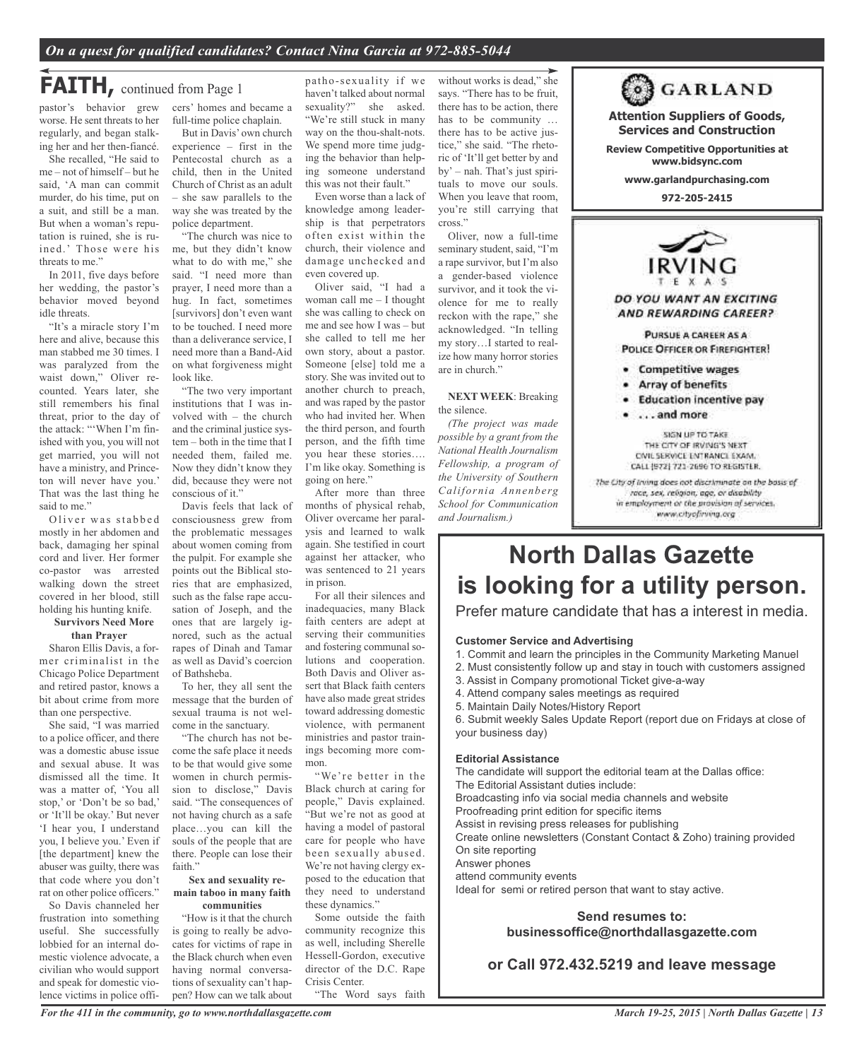## **FAITH**, continued from Page 1

pastor's behavior grew worse. He sent threats to her regularly, and began stalking her and her then-fiancé.

She recalled, "He said to me – not of himself – but he said, 'A man can commit murder, do his time, put on a suit, and still be a man. But when a woman's reputation is ruined, she is ruined.' Those were his threats to me."

In 2011, five days before her wedding, the pastor's behavior moved beyond idle threats.

"It's a miracle story I'm here and alive, because this man stabbed me 30 times. I was paralyzed from the waist down," Oliver recounted. Years later, she still remembers his final threat, prior to the day of the attack: "'When I'm finished with you, you will not get married, you will not have a ministry, and Princeton will never have you.' That was the last thing he said to me."

Oliver was stabbed mostly in her abdomen and back, damaging her spinal cord and liver. Her former co-pastor was arrested walking down the street covered in her blood, still holding his hunting knife.

### **Survivors Need More than Prayer**

Sharon Ellis Davis, a former criminalist in the Chicago Police Department and retired pastor, knows a bit about crime from more than one perspective.

She said, "I was married to a police officer, and there was a domestic abuse issue and sexual abuse. It was dismissed all the time. It was a matter of, 'You all stop,' or 'Don't be so bad,' or 'It'll be okay.' But never 'I hear you, I understand you, I believe you.' Even if [the department] knew the abuser was guilty, there was that code where you don't rat on other police officers."

So Davis channeled her frustration into something useful. She successfully lobbied for an internal domestic violence advocate, a civilian who would support and speak for domestic violence victims in police officers' homes and became a full-time police chaplain.

But in Davis' own church experience – first in the Pentecostal church as a child, then in the United Church of Christ as an adult – she saw parallels to the way she was treated by the police department.

"The church was nice to me, but they didn't know what to do with me," she said. "I need more than prayer, I need more than a hug. In fact, sometimes [survivors] don't even want to be touched. I need more than a deliverance service, I need more than a Band-Aid on what forgiveness might look like.

"The two very important institutions that I was involved with – the church and the criminal justice system – both in the time that I needed them, failed me. Now they didn't know they did, because they were not conscious of it."

Davis feels that lack of consciousness grew from the problematic messages about women coming from the pulpit. For example she points out the Biblical stories that are emphasized, such as the false rape accusation of Joseph, and the ones that are largely ignored, such as the actual rapes of Dinah and Tamar as well as David's coercion of Bathsheba.

To her, they all sent the message that the burden of sexual trauma is not welcome in the sanctuary.

"The church has not become the safe place it needs to be that would give some women in church permission to disclose," Davis said. "The consequences of not having church as a safe place…you can kill the souls of the people that are there. People can lose their faith."

#### **Sex and sexuality remain taboo in many faith communities**

"How is it that the church is going to really be advocates for victims of rape in the Black church when even having normal conversations of sexuality can't happen? How can we talk about

patho-sexuality if we haven't talked about normal sexuality?" she asked. "We're still stuck in many way on the thou-shalt-nots. We spend more time judging the behavior than helping someone understand this was not their fault."

Even worse than a lack of knowledge among leadership is that perpetrators often exist within the church, their violence and damage unchecked and even covered up.

Oliver said, "I had a woman call me – I thought she was calling to check on me and see how I was – but she called to tell me her own story, about a pastor. Someone [else] told me a story. She was invited out to another church to preach, and was raped by the pastor who had invited her. When the third person, and fourth person, and the fifth time you hear these stories…. I'm like okay. Something is going on here."

After more than three months of physical rehab, Oliver overcame her paralysis and learned to walk again. She testified in court against her attacker, who was sentenced to 21 years in prison.

For all their silences and inadequacies, many Black faith centers are adept at serving their communities and fostering communal solutions and cooperation. Both Davis and Oliver assert that Black faith centers have also made great strides toward addressing domestic violence, with permanent ministries and pastor trainings becoming more common.

"We're better in the Black church at caring for people," Davis explained. "But we're not as good at having a model of pastoral care for people who have been sexually abused. We're not having clergy exposed to the education that they need to understand these dynamics."

Some outside the faith community recognize this as well, including Sherelle Hessell-Gordon, executive director of the D.C. Rape Crisis Center. "The Word says faith

without works is dead," she says. "There has to be fruit, there has to be action, there has to be community … there has to be active justice," she said. "The rhetoric of 'It'll get better by and by' – nah. That's just spirituals to move our souls. When you leave that room, you're still carrying that cross."

Oliver, now a full-time seminary student, said, "I'm a rape survivor, but I'm also a gender-based violence survivor, and it took the violence for me to really reckon with the rape," she acknowledged. "In telling my story…I started to realize how many horror stories are in church."

**NEXT WEEK**: Breaking the silence.

*(The project was made possible by a grant from the National Health Journalism Fellowship, a program of the University of Southern California Annenberg School for Communication and Journalism.)*

**Attention Suppliers of Goods, Services and Construction Review Competitive Opportunities at www.bidsync.com www.garlandpurchasing.com 972-205-2415** DO YOU WANT AN EXCITING AND REWARDING CAREER? PURSUE A CAREER AS A POLICE OFFICER OR FIREFIGHTER! · Competitive wages Array of benefits

**63 GARLAND** 

- · Education incentive pay
- . . . . and more

SIGN UP TO TAKE THE CITY OF IRVING'S NEXT CIVIL SERVICE ENTRANCE EXAM. CALL (972) 721-2696 TO REGISTER. The City of Irving does not discriminate on the basis of race, sex, religion, age, or disability in employment or the provision of services. www.cityofirving.org

**North Dallas Gazette is looking for a utility person.**

Prefer mature candidate that has a interest in media.

## **Customer Service and Advertising**

- 1. Commit and learn the principles in the Community Marketing Manuel
- 2. Must consistently follow up and stay in touch with customers assigned
- 3. Assist in Company promotional Ticket give-a-way
- 4. Attend company sales meetings as required
- 5. Maintain Daily Notes/History Report

6. Submit weekly Sales Update Report (report due on Fridays at close of your business day)

## **Editorial Assistance**

The candidate will support the editorial team at the Dallas office: The Editorial Assistant duties include: Broadcasting info via social media channels and website Proofreading print edition for specific items Assist in revising press releases for publishing Create online newsletters (Constant Contact & Zoho) training provided On site reporting Answer phones attend community events Ideal for semi or retired person that want to stay active.

## **Send resumes to: businessoffice@northdallasgazette.com**

**or Call 972.432.5219 and leave message**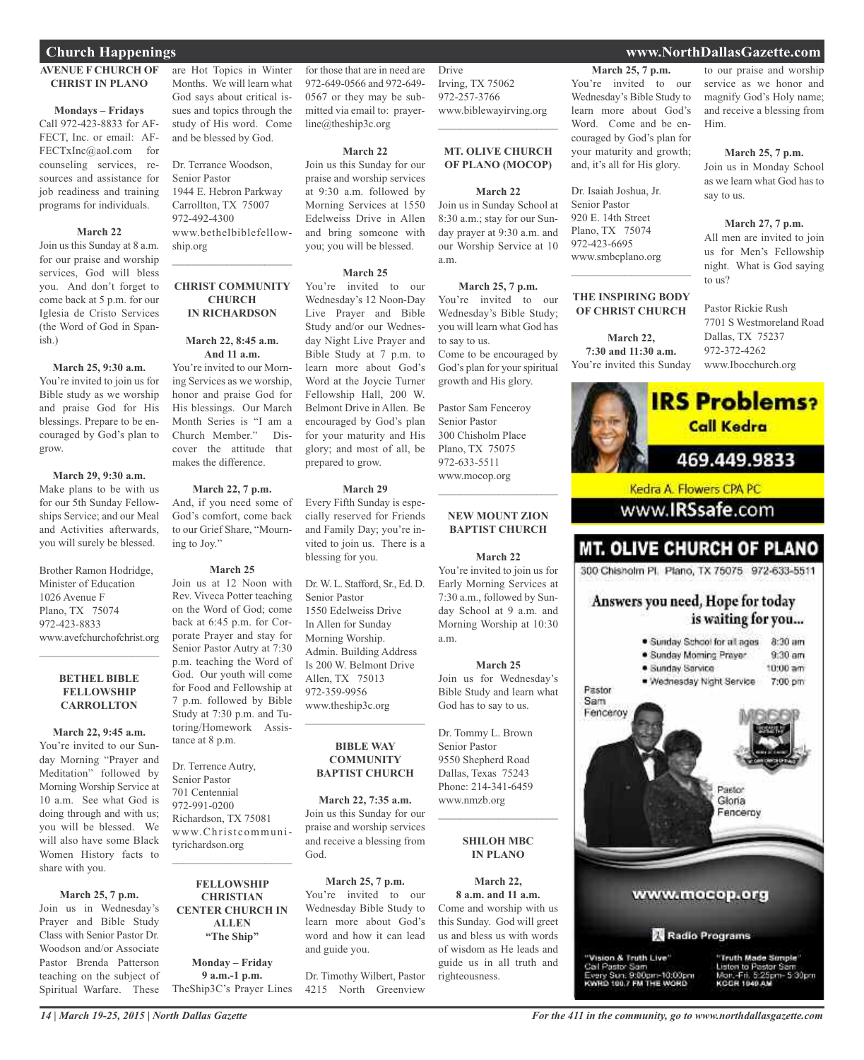## **AVENUE F CHURCH OF CHRIST IN PLANO**

### **Mondays – Fridays**

Call 972-423-8833 for AF-FECT, Inc. or email: AF-FECTxInc@aol.com for counseling services, resources and assistance for job readiness and training programs for individuals.

## **March 22**

Join us this Sunday at 8 a.m. for our praise and worship services, God will bless you. And don't forget to come back at 5 p.m. for our Iglesia de Cristo Services (the Word of God in Spanish.)

## **March 25, 9:30 a.m.**

You're invited to join us for Bible study as we worship and praise God for His blessings. Prepare to be encouraged by God's plan to grow.

## **March 29, 9:30 a.m.**

Make plans to be with us for our 5th Sunday Fellowships Service; and our Meal and Activities afterwards, you will surely be blessed.

Brother Ramon Hodridge, Minister of Education 1026 Avenue F Plano, TX 75074 972-423-8833 www.avefchurchofchrist.org

### **BETHEL BIBLE FELLOWSHIP CARROLLTON**

 $\mathcal{L}_\text{max}$  , which is a set of the set of the set of the set of the set of the set of the set of the set of the set of the set of the set of the set of the set of the set of the set of the set of the set of the set of

**March 22, 9:45 a.m.** You're invited to our Sunday Morning "Prayer and Meditation" followed by Morning Worship Service at 10 a.m. See what God is doing through and with us; you will be blessed. We will also have some Black Women History facts to share with you.

## **March 25, 7 p.m.**

Join us in Wednesday's Prayer and Bible Study Class with Senior Pastor Dr. Woodson and/or Associate Pastor Brenda Patterson teaching on the subject of Spiritual Warfare. These are Hot Topics in Winter Months. We will learn what God says about critical issues and topics through the study of His word. Come and be blessed by God.

Dr. Terrance Woodson, Senior Pastor 1944 E. Hebron Parkway Carrollton, TX 75007 972-492-4300 www.bethelbiblefellowship.org

## **CHRIST COMMUNITY CHURCH IN RICHARDSON**

 $\mathcal{L}_\text{max}$  , which is a set of the set of the set of the set of the set of the set of the set of the set of the set of the set of the set of the set of the set of the set of the set of the set of the set of the set of

## **March 22, 8:45 a.m. And 11 a.m.**

You're invited to our Morning Services as we worship, honor and praise God for His blessings. Our March Month Series is "I am a<br>Church Member." Dis-Church Member." cover the attitude that makes the difference.

## **March 22, 7 p.m.**

And, if you need some of God's comfort, come back to our Grief Share, "Mourning to Joy."

### **March 25**

Join us at 12 Noon with Rev. Viveca Potter teaching on the Word of God; come back at 6:45 p.m. for Corporate Prayer and stay for Senior Pastor Autry at 7:30 p.m. teaching the Word of God. Our youth will come for Food and Fellowship at 7 p.m. followed by Bible Study at 7:30 p.m. and Tutoring/Homework Assistance at 8 p.m.

Dr. Terrence Autry, Senior Pastor 701 Centennial 972-991-0200 Richardson, TX 75081 www.Christcommunityrichardson.org  $\mathcal{L}_\text{max}$  and  $\mathcal{L}_\text{max}$  and  $\mathcal{L}_\text{max}$ 

## **FELLOWSHIP CHRISTIAN CENTER CHURCH IN ALLEN "The Ship"**

**Monday – Friday 9 a.m.-1 p.m.** TheShip3C's Prayer Lines

for those that are in need are 972-649-0566 and 972-649- 0567 or they may be submitted via email to: prayerline@theship3c.org

### **March 22**

Join us this Sunday for our praise and worship services at 9:30 a.m. followed by Morning Services at 1550 Edelweiss Drive in Allen and bring someone with you; you will be blessed.

## **March 25**

You're invited to our Wednesday's 12 Noon-Day Live Prayer and Bible Study and/or our Wednesday Night Live Prayer and Bible Study at 7 p.m. to learn more about God's Word at the Joycie Turner Fellowship Hall, 200 W. Belmont Drive in Allen. Be encouraged by God's plan for your maturity and His glory; and most of all, be prepared to grow.

### **March 29**

Every Fifth Sunday is especially reserved for Friends and Family Day; you're invited to join us. There is a blessing for you.

Dr.W. L. Stafford, Sr., Ed. D. Senior Pastor 1550 Edelweiss Drive In Allen for Sunday Morning Worship. Admin. Building Address Is 200 W. Belmont Drive Allen, TX 75013 972-359-9956 www.theship3c.org

### **BIBLE WAY COMMUNITY BAPTIST CHURCH**

 $\mathcal{L}=\mathcal{L}^{\mathcal{L}}$  , where  $\mathcal{L}^{\mathcal{L}}$  , we have the set of the set of the set of the set of the set of the set of the set of the set of the set of the set of the set of the set of the set of the set of the set of

**March 22, 7:35 a.m.** Join us this Sunday for our praise and worship services and receive a blessing from God.

**March 25, 7 p.m.** You're invited to our Wednesday Bible Study to learn more about God's word and how it can lead and guide you.

Dr. Timothy Wilbert, Pastor 4215 North Greenview

Drive Irving, TX 75062 972-257-3766 www.biblewayirving.org

### **MT. OLIVE CHURCH OF PLANO (MOCOP)**

 $\mathcal{L}=\mathcal{L}^{\mathcal{L}}$  , where  $\mathcal{L}^{\mathcal{L}}$  , we have the set of the set of the set of the set of the set of the set of the set of the set of the set of the set of the set of the set of the set of the set of the set of

### **March 22**

Join us in Sunday School at 8:30 a.m.; stay for our Sunday prayer at 9:30 a.m. and our Worship Service at 10 a.m.

**March 25, 7 p.m.** You're invited to our Wednesday's Bible Study; you will learn what God has to say to us. Come to be encouraged by God's plan for your spiritual

Pastor Sam Fenceroy Senior Pastor 300 Chisholm Place Plano, TX 75075 972-633-5511 www.mocop.org

growth and His glory.

## **NEW MOUNT ZION BAPTIST CHURCH**

 $\mathcal{L}$  , and the set of the set of the set of the set of the set of the set of the set of the set of the set of the set of the set of the set of the set of the set of the set of the set of the set of the set of the set

#### **March 22**

You're invited to join us for Early Morning Services at 7:30 a.m., followed by Sunday School at 9 a.m. and Morning Worship at 10:30 a.m.

## **March 25**

Join us for Wednesday's Bible Study and learn what God has to say to us. Dr. Tommy L. Brown Senior Pastor

9550 Shepherd Road Dallas, Texas 75243 Phone: 214-341-6459 www.nmzb.org

## **SHILOH MBC IN PLANO**

 $\mathcal{L}$  , and the set of the set of the set of the set of the set of the set of the set of the set of the set of the set of the set of the set of the set of the set of the set of the set of the set of the set of the set

**March 22, 8 a.m. and 11 a.m.** Come and worship with us this Sunday. God will greet us and bless us with words of wisdom as He leads and guide us in all truth and righteousness.

**March 25, 7 p.m.** You're invited to our Wednesday's Bible Study to learn more about God's Word. Come and be encouraged by God's plan for your maturity and growth; and, it's all for His glory.

Dr. Isaiah Joshua, Jr. Senior Pastor 920 E. 14th Street Plano, TX 75074 972-423-6695 www.smbcplano.org

## **THE INSPIRING BODY OF CHRIST CHURCH**

 $\mathcal{L}_\text{max}$  , which is a set of the set of the set of the set of the set of the set of the set of the set of the set of the set of the set of the set of the set of the set of the set of the set of the set of the set of

**March 22, 7:30 and 11:30 a.m.** You're invited this Sunday



## 469.449.9833

Kedra A. Flowers CPA PC

## www.**IRSsafe**.com

## **MT. OLIVE CHURCH OF PLANO**

300 Chisholm Pl. Plano, TX 75075 972-633-5511

## Answers you need, Hope for today is waiting for you...



## **Church Happenings www.NorthDallasGazette.com**

to our praise and worship service as we honor and magnify God's Holy name; and receive a blessing from Him.

## **March 25, 7 p.m.**

Join us in Monday School as we learn what God has to say to us.

## **March 27, 7 p.m.**

All men are invited to join us for Men's Fellowship night. What is God saying to us?

Pastor Rickie Rush 7701 S Westmoreland Road Dallas, TX 75237 972-372-4262 www.Ibocchurch.org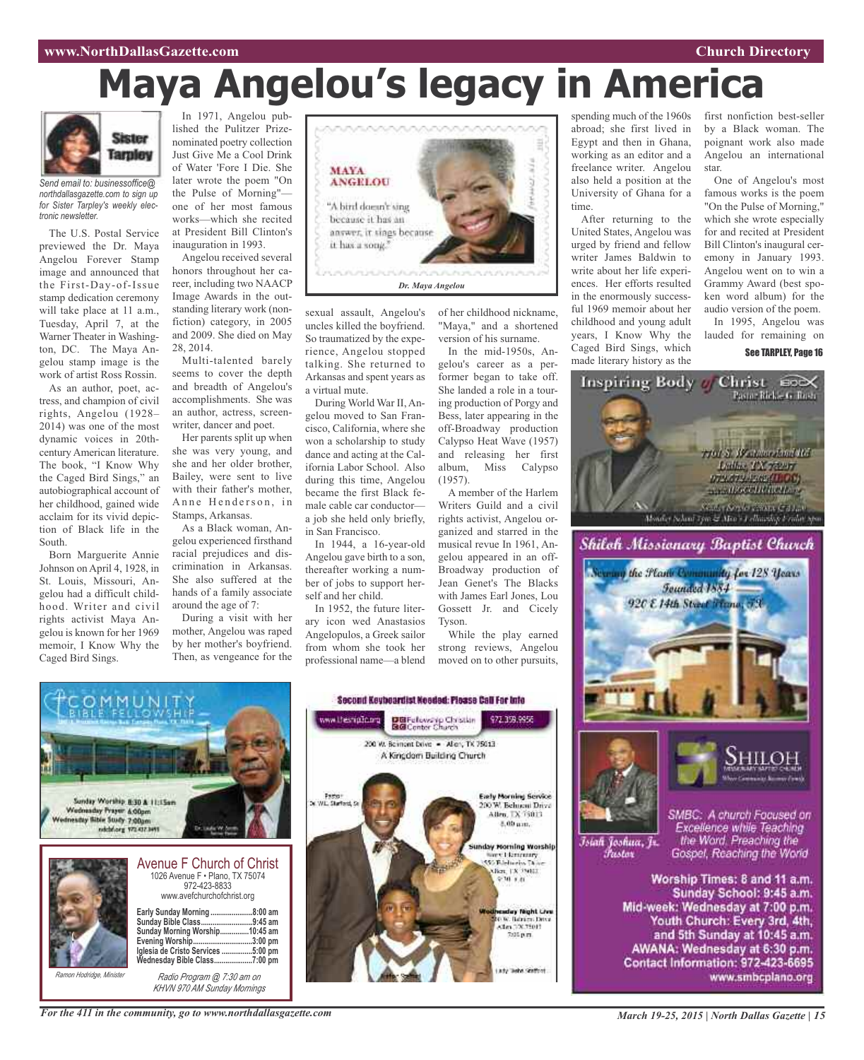## **www.NorthDallasGazette.com Church Directory**

# **Maya Angelou's legacy in America**



*Send email to: businessoffice@ northdallasgazette.com to sign up for Sister Tarpley's weekly electronic newsletter.*

The U.S. Postal Service previewed the Dr. Maya Angelou Forever Stamp image and announced that the First-Day-of-Issue stamp dedication ceremony will take place at 11 a.m., Tuesday, April 7, at the Warner Theater in Washington, DC. The Maya Angelou stamp image is the work of artist Ross Rossin.

As an author, poet, actress, and champion of civil rights, Angelou (1928– 2014) was one of the most dynamic voices in 20thcentury American literature. The book, "I Know Why the Caged Bird Sings," an autobiographical account of her childhood, gained wide acclaim for its vivid depiction of Black life in the South.

Born Marguerite Annie Johnson on April 4, 1928, in St. Louis, Missouri, Angelou had a difficult childhood. Writer and civil rights activist Maya Angelou is known for her 1969 memoir, I Know Why the Caged Bird Sings.

In 1971, Angelou published the Pulitzer Prizenominated poetry collection Just Give Me a Cool Drink of Water 'Fore I Die. She later wrote the poem "On the Pulse of Morning" one of her most famous works—which she recited at President Bill Clinton's inauguration in 1993.

Angelou received several honors throughout her career, including two NAACP Image Awards in the outstanding literary work (nonfiction) category, in 2005 and 2009. She died on May 28, 2014.

Multi-talented barely seems to cover the depth and breadth of Angelou's accomplishments. She was an author, actress, screenwriter, dancer and poet.

Her parents split up when she was very young, and she and her older brother, Bailey, were sent to live with their father's mother, Anne Henderson, in Stamps, Arkansas.

As a Black woman, Angelou experienced firsthand racial prejudices and discrimination in Arkansas. She also suffered at the hands of a family associate around the age of 7:

During a visit with her mother, Angelou was raped by her mother's boyfriend. Then, as vengeance for the



sexual assault, Angelou's uncles killed the boyfriend. So traumatized by the experience, Angelou stopped talking. She returned to Arkansas and spent years as a virtual mute.

During World War II, Angelou moved to San Francisco, California, where she won a scholarship to study dance and acting at the California Labor School. Also during this time, Angelou became the first Black female cable car conductor a job she held only briefly, in San Francisco.

In 1944, a 16-year-old Angelou gave birth to a son, thereafter working a number of jobs to support herself and her child.

In 1952, the future literary icon wed Anastasios Angelopulos, a Greek sailor from whom she took her professional name—a blend of her childhood nickname, "Maya," and a shortened version of his surname.

In the mid-1950s, Angelou's career as a performer began to take off. She landed a role in a touring production of Porgy and Bess, later appearing in the off-Broadway production Calypso Heat Wave (1957) and releasing her first album, Miss Calypso (1957).

A member of the Harlem Writers Guild and a civil rights activist, Angelou organized and starred in the musical revue In 1961, Angelou appeared in an off-Broadway production of Jean Genet's The Blacks with James Earl Jones, Lou Gossett Jr. and Cicely Tyson.

While the play earned strong reviews, Angelou moved on to other pursuits,

972.359.9955

**Early Morning Service** 

200 W. Behueni Drive

Allen, TX 75013.

8.00 um.

Sunday Morning Worship<br>
Mary Licenceary<br>
Microsoft Patent<br>
Microsoft Patent<br>
Microsoft

 $970.88$ 

day Night Live

036. Bahim Ditsi<br>Alm DX 75013

7:05 p.m.

spending much of the 1960s abroad; she first lived in Egypt and then in Ghana, working as an editor and a freelance writer. Angelou also held a position at the University of Ghana for a time.

After returning to the United States, Angelou was urged by friend and fellow writer James Baldwin to write about her life experiences. Her efforts resulted in the enormously successful 1969 memoir about her childhood and young adult years, I Know Why the Caged Bird Sings, which made literary history as the

first nonfiction best-seller by a Black woman. The poignant work also made Angelou an international star.

One of Angelou's most famous works is the poem "On the Pulse of Morning," which she wrote especially for and recited at President Bill Clinton's inaugural ceremony in January 1993. Angelou went on to win a Grammy Award (best spoken word album) for the audio version of the poem.

In 1995, Angelou was lauded for remaining on

See TARPLEY, Page 16



## Second Keybeardist Needed: Please Call For Info www.thesnipDo.org DBFelowskip Christian<br>BGConter Church 200 W. Bernont Drive - Allen, TX 75013 A Kingdom Building Church Pastor<br>W.L. Starford, S Sunday Worship 8:30 & 11:15am Wednesday Prayer & Olgen dnesday Bible Study 7:00gm ndchiorg 172437.9415 Avenue F Church of Christ 1026 Avenue F • Plano, TX 75074 972-423-8833 www.avefchurchofchrist.org **Early Sunday Morning ......................8:00 am Sunday Bible Class...........................9:45 am Sunday Morning Worship...............10:45 am Evening Worship...............................3:00 pm Iglesia de Cristo Services ................5:00 pm**  $\breve{\text{W}}$ ednesday Bible Class. *Ramon Hodridge, Minister Radio Program @ 7:30 am on KHVN 970 AM Sunday Mornings*

*For the 411 in the community, go to www.northdallasgazette.com*